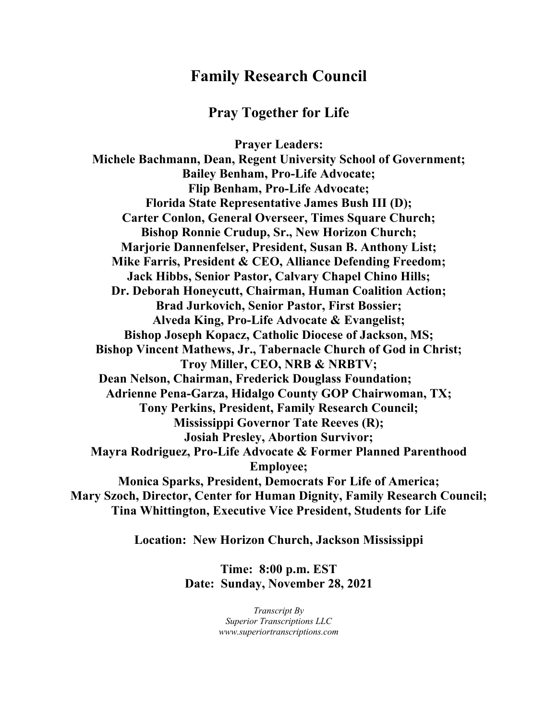# **Family Research Council**

## **Pray Together for Life**

**Prayer Leaders: Michele Bachmann, Dean, Regent University School of Government; Bailey Benham, Pro-Life Advocate; Flip Benham, Pro-Life Advocate; Florida State Representative James Bush III (D); Carter Conlon, General Overseer, Times Square Church; Bishop Ronnie Crudup, Sr., New Horizon Church; Marjorie Dannenfelser, President, Susan B. Anthony List; Mike Farris, President & CEO, Alliance Defending Freedom; Jack Hibbs, Senior Pastor, Calvary Chapel Chino Hills; Dr. Deborah Honeycutt, Chairman, Human Coalition Action; Brad Jurkovich, Senior Pastor, First Bossier; Alveda King, Pro-Life Advocate & Evangelist; Bishop Joseph Kopacz, Catholic Diocese of Jackson, MS; Bishop Vincent Mathews, Jr., Tabernacle Church of God in Christ; Troy Miller, CEO, NRB & NRBTV; Dean Nelson, Chairman, Frederick Douglass Foundation; Adrienne Pena-Garza, Hidalgo County GOP Chairwoman, TX; Tony Perkins, President, Family Research Council; Mississippi Governor Tate Reeves (R); Josiah Presley, Abortion Survivor; Mayra Rodriguez, Pro-Life Advocate & Former Planned Parenthood Employee; Monica Sparks, President, Democrats For Life of America; Mary Szoch, Director, Center for Human Dignity, Family Research Council; Tina Whittington, Executive Vice President, Students for Life**

**Location: New Horizon Church, Jackson Mississippi**

**Time: 8:00 p.m. EST Date: Sunday, November 28, 2021**

> *Transcript By Superior Transcriptions LLC www.superiortranscriptions.com*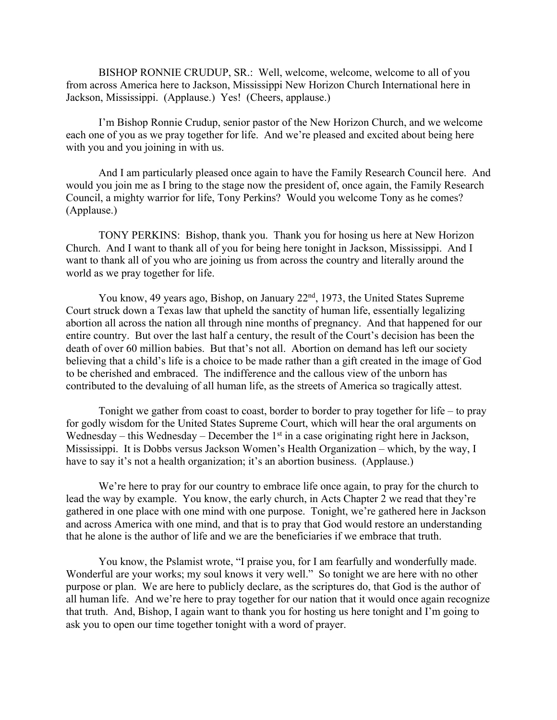BISHOP RONNIE CRUDUP, SR.: Well, welcome, welcome, welcome to all of you from across America here to Jackson, Mississippi New Horizon Church International here in Jackson, Mississippi. (Applause.) Yes! (Cheers, applause.)

I'm Bishop Ronnie Crudup, senior pastor of the New Horizon Church, and we welcome each one of you as we pray together for life. And we're pleased and excited about being here with you and you joining in with us.

And I am particularly pleased once again to have the Family Research Council here. And would you join me as I bring to the stage now the president of, once again, the Family Research Council, a mighty warrior for life, Tony Perkins? Would you welcome Tony as he comes? (Applause.)

TONY PERKINS: Bishop, thank you. Thank you for hosing us here at New Horizon Church. And I want to thank all of you for being here tonight in Jackson, Mississippi. And I want to thank all of you who are joining us from across the country and literally around the world as we pray together for life.

You know, 49 years ago, Bishop, on January 22<sup>nd</sup>, 1973, the United States Supreme Court struck down a Texas law that upheld the sanctity of human life, essentially legalizing abortion all across the nation all through nine months of pregnancy. And that happened for our entire country. But over the last half a century, the result of the Court's decision has been the death of over 60 million babies. But that's not all. Abortion on demand has left our society believing that a child's life is a choice to be made rather than a gift created in the image of God to be cherished and embraced. The indifference and the callous view of the unborn has contributed to the devaluing of all human life, as the streets of America so tragically attest.

Tonight we gather from coast to coast, border to border to pray together for life – to pray for godly wisdom for the United States Supreme Court, which will hear the oral arguments on Wednesday – this Wednesday – December the  $1<sup>st</sup>$  in a case originating right here in Jackson, Mississippi. It is Dobbs versus Jackson Women's Health Organization – which, by the way, I have to say it's not a health organization; it's an abortion business. (Applause.)

We're here to pray for our country to embrace life once again, to pray for the church to lead the way by example. You know, the early church, in Acts Chapter 2 we read that they're gathered in one place with one mind with one purpose. Tonight, we're gathered here in Jackson and across America with one mind, and that is to pray that God would restore an understanding that he alone is the author of life and we are the beneficiaries if we embrace that truth.

You know, the Pslamist wrote, "I praise you, for I am fearfully and wonderfully made. Wonderful are your works; my soul knows it very well." So tonight we are here with no other purpose or plan. We are here to publicly declare, as the scriptures do, that God is the author of all human life. And we're here to pray together for our nation that it would once again recognize that truth. And, Bishop, I again want to thank you for hosting us here tonight and I'm going to ask you to open our time together tonight with a word of prayer.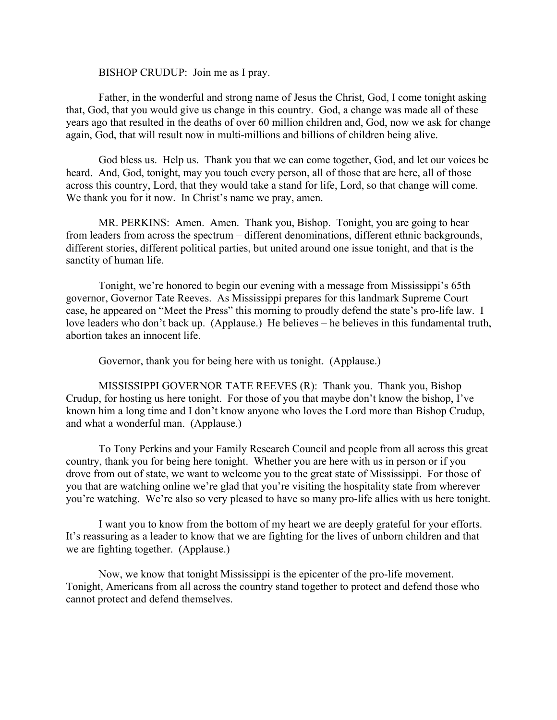BISHOP CRUDUP: Join me as I pray.

Father, in the wonderful and strong name of Jesus the Christ, God, I come tonight asking that, God, that you would give us change in this country. God, a change was made all of these years ago that resulted in the deaths of over 60 million children and, God, now we ask for change again, God, that will result now in multi-millions and billions of children being alive.

God bless us. Help us. Thank you that we can come together, God, and let our voices be heard. And, God, tonight, may you touch every person, all of those that are here, all of those across this country, Lord, that they would take a stand for life, Lord, so that change will come. We thank you for it now. In Christ's name we pray, amen.

MR. PERKINS: Amen. Amen. Thank you, Bishop. Tonight, you are going to hear from leaders from across the spectrum – different denominations, different ethnic backgrounds, different stories, different political parties, but united around one issue tonight, and that is the sanctity of human life.

Tonight, we're honored to begin our evening with a message from Mississippi's 65th governor, Governor Tate Reeves. As Mississippi prepares for this landmark Supreme Court case, he appeared on "Meet the Press" this morning to proudly defend the state's pro-life law. I love leaders who don't back up. (Applause.) He believes – he believes in this fundamental truth, abortion takes an innocent life.

Governor, thank you for being here with us tonight. (Applause.)

MISSISSIPPI GOVERNOR TATE REEVES (R): Thank you. Thank you, Bishop Crudup, for hosting us here tonight. For those of you that maybe don't know the bishop, I've known him a long time and I don't know anyone who loves the Lord more than Bishop Crudup, and what a wonderful man. (Applause.)

To Tony Perkins and your Family Research Council and people from all across this great country, thank you for being here tonight. Whether you are here with us in person or if you drove from out of state, we want to welcome you to the great state of Mississippi. For those of you that are watching online we're glad that you're visiting the hospitality state from wherever you're watching. We're also so very pleased to have so many pro-life allies with us here tonight.

I want you to know from the bottom of my heart we are deeply grateful for your efforts. It's reassuring as a leader to know that we are fighting for the lives of unborn children and that we are fighting together. (Applause.)

Now, we know that tonight Mississippi is the epicenter of the pro-life movement. Tonight, Americans from all across the country stand together to protect and defend those who cannot protect and defend themselves.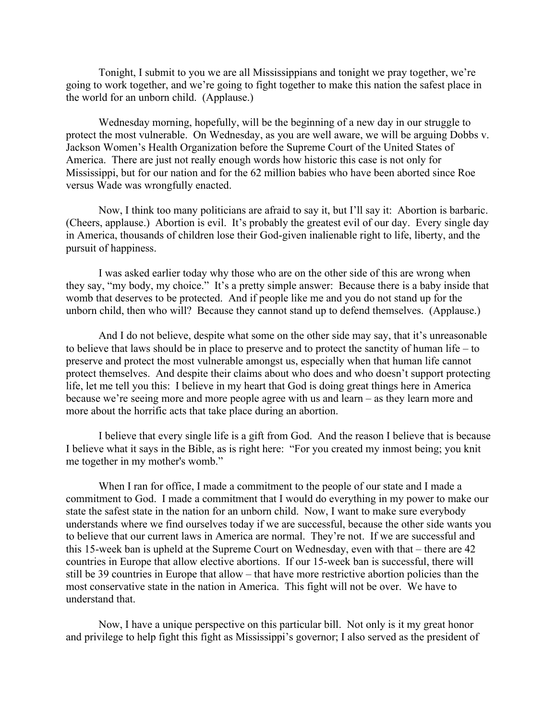Tonight, I submit to you we are all Mississippians and tonight we pray together, we're going to work together, and we're going to fight together to make this nation the safest place in the world for an unborn child. (Applause.)

Wednesday morning, hopefully, will be the beginning of a new day in our struggle to protect the most vulnerable. On Wednesday, as you are well aware, we will be arguing Dobbs v. Jackson Women's Health Organization before the Supreme Court of the United States of America. There are just not really enough words how historic this case is not only for Mississippi, but for our nation and for the 62 million babies who have been aborted since Roe versus Wade was wrongfully enacted.

Now, I think too many politicians are afraid to say it, but I'll say it: Abortion is barbaric. (Cheers, applause.) Abortion is evil. It's probably the greatest evil of our day. Every single day in America, thousands of children lose their God-given inalienable right to life, liberty, and the pursuit of happiness.

I was asked earlier today why those who are on the other side of this are wrong when they say, "my body, my choice." It's a pretty simple answer: Because there is a baby inside that womb that deserves to be protected. And if people like me and you do not stand up for the unborn child, then who will? Because they cannot stand up to defend themselves. (Applause.)

And I do not believe, despite what some on the other side may say, that it's unreasonable to believe that laws should be in place to preserve and to protect the sanctity of human life – to preserve and protect the most vulnerable amongst us, especially when that human life cannot protect themselves. And despite their claims about who does and who doesn't support protecting life, let me tell you this: I believe in my heart that God is doing great things here in America because we're seeing more and more people agree with us and learn – as they learn more and more about the horrific acts that take place during an abortion.

I believe that every single life is a gift from God. And the reason I believe that is because I believe what it says in the Bible, as is right here: "For you created my inmost being; you knit me together in my mother's womb."

When I ran for office, I made a commitment to the people of our state and I made a commitment to God. I made a commitment that I would do everything in my power to make our state the safest state in the nation for an unborn child. Now, I want to make sure everybody understands where we find ourselves today if we are successful, because the other side wants you to believe that our current laws in America are normal. They're not. If we are successful and this 15-week ban is upheld at the Supreme Court on Wednesday, even with that – there are 42 countries in Europe that allow elective abortions. If our 15-week ban is successful, there will still be 39 countries in Europe that allow – that have more restrictive abortion policies than the most conservative state in the nation in America. This fight will not be over. We have to understand that.

Now, I have a unique perspective on this particular bill. Not only is it my great honor and privilege to help fight this fight as Mississippi's governor; I also served as the president of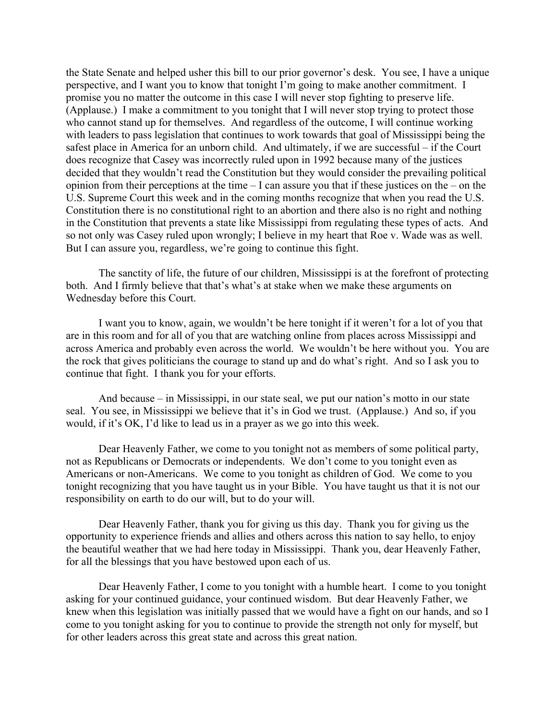the State Senate and helped usher this bill to our prior governor's desk. You see, I have a unique perspective, and I want you to know that tonight I'm going to make another commitment. I promise you no matter the outcome in this case I will never stop fighting to preserve life. (Applause.) I make a commitment to you tonight that I will never stop trying to protect those who cannot stand up for themselves. And regardless of the outcome, I will continue working with leaders to pass legislation that continues to work towards that goal of Mississippi being the safest place in America for an unborn child. And ultimately, if we are successful – if the Court does recognize that Casey was incorrectly ruled upon in 1992 because many of the justices decided that they wouldn't read the Constitution but they would consider the prevailing political opinion from their perceptions at the time – I can assure you that if these justices on the – on the U.S. Supreme Court this week and in the coming months recognize that when you read the U.S. Constitution there is no constitutional right to an abortion and there also is no right and nothing in the Constitution that prevents a state like Mississippi from regulating these types of acts. And so not only was Casey ruled upon wrongly; I believe in my heart that Roe v. Wade was as well. But I can assure you, regardless, we're going to continue this fight.

The sanctity of life, the future of our children, Mississippi is at the forefront of protecting both. And I firmly believe that that's what's at stake when we make these arguments on Wednesday before this Court.

I want you to know, again, we wouldn't be here tonight if it weren't for a lot of you that are in this room and for all of you that are watching online from places across Mississippi and across America and probably even across the world. We wouldn't be here without you. You are the rock that gives politicians the courage to stand up and do what's right. And so I ask you to continue that fight. I thank you for your efforts.

And because – in Mississippi, in our state seal, we put our nation's motto in our state seal. You see, in Mississippi we believe that it's in God we trust. (Applause.) And so, if you would, if it's OK, I'd like to lead us in a prayer as we go into this week.

Dear Heavenly Father, we come to you tonight not as members of some political party, not as Republicans or Democrats or independents. We don't come to you tonight even as Americans or non-Americans. We come to you tonight as children of God. We come to you tonight recognizing that you have taught us in your Bible. You have taught us that it is not our responsibility on earth to do our will, but to do your will.

Dear Heavenly Father, thank you for giving us this day. Thank you for giving us the opportunity to experience friends and allies and others across this nation to say hello, to enjoy the beautiful weather that we had here today in Mississippi. Thank you, dear Heavenly Father, for all the blessings that you have bestowed upon each of us.

Dear Heavenly Father, I come to you tonight with a humble heart. I come to you tonight asking for your continued guidance, your continued wisdom. But dear Heavenly Father, we knew when this legislation was initially passed that we would have a fight on our hands, and so I come to you tonight asking for you to continue to provide the strength not only for myself, but for other leaders across this great state and across this great nation.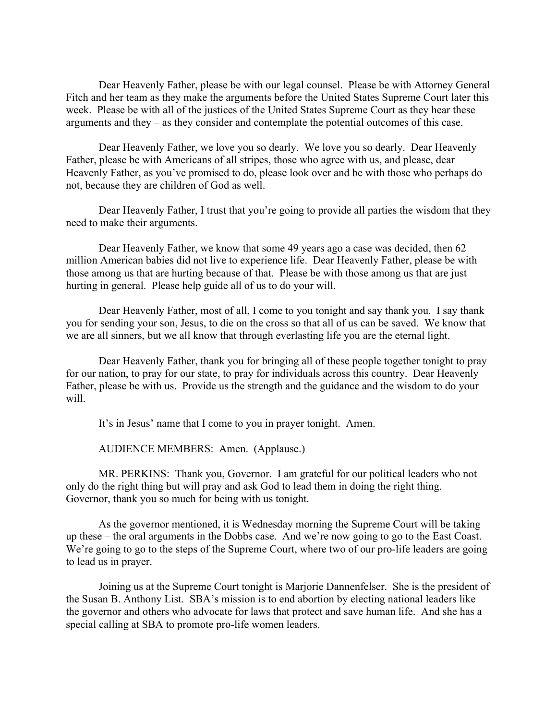Dear Heavenly Father, please be with our legal counsel. Please be with Attorney General Fitch and her team as they make the arguments before the United States Supreme Court later this week. Please be with all of the justices of the United States Supreme Court as they hear these arguments and they – as they consider and contemplate the potential outcomes of this case.

Dear Heavenly Father, we love you so dearly. We love you so dearly. Dear Heavenly Father, please be with Americans of all stripes, those who agree with us, and please, dear Heavenly Father, as you've promised to do, please look over and be with those who perhaps do not, because they are children of God as well.

Dear Heavenly Father, I trust that you're going to provide all parties the wisdom that they need to make their arguments.

Dear Heavenly Father, we know that some 49 years ago a case was decided, then 62 million American babies did not live to experience life. Dear Heavenly Father, please be with those among us that are hurting because of that. Please be with those among us that are just hurting in general. Please help guide all of us to do your will.

Dear Heavenly Father, most of all, I come to you tonight and say thank you. I say thank you for sending your son, Jesus, to die on the cross so that all of us can be saved. We know that we are all sinners, but we all know that through everlasting life you are the eternal light.

Dear Heavenly Father, thank you for bringing all of these people together tonight to pray for our nation, to pray for our state, to pray for individuals across this country. Dear Heavenly Father, please be with us. Provide us the strength and the guidance and the wisdom to do your will.

It's in Jesus' name that I come to you in prayer tonight. Amen.

AUDIENCE MEMBERS: Amen. (Applause.)

MR. PERKINS: Thank you, Governor. I am grateful for our political leaders who not only do the right thing but will pray and ask God to lead them in doing the right thing. Governor, thank you so much for being with us tonight.

As the governor mentioned, it is Wednesday morning the Supreme Court will be taking up these – the oral arguments in the Dobbs case. And we're now going to go to the East Coast. We're going to go to the steps of the Supreme Court, where two of our pro-life leaders are going to lead us in prayer.

Joining us at the Supreme Court tonight is Marjorie Dannenfelser. She is the president of the Susan B. Anthony List. SBA's mission is to end abortion by electing national leaders like the governor and others who advocate for laws that protect and save human life. And she has a special calling at SBA to promote pro-life women leaders.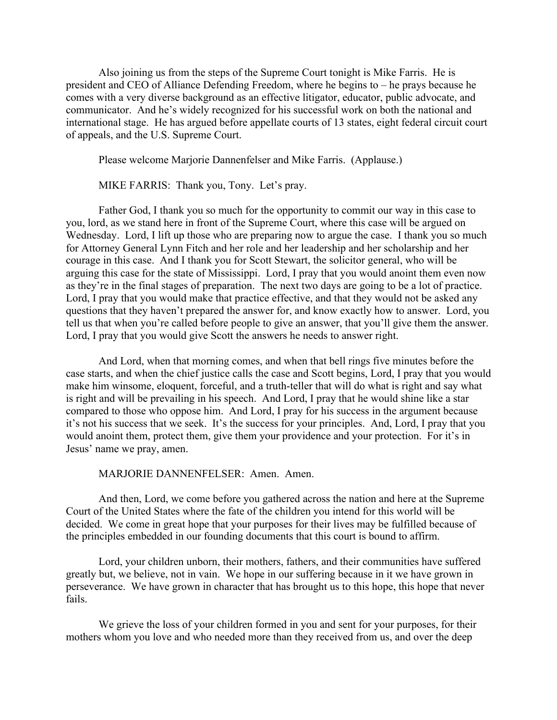Also joining us from the steps of the Supreme Court tonight is Mike Farris. He is president and CEO of Alliance Defending Freedom, where he begins to – he prays because he comes with a very diverse background as an effective litigator, educator, public advocate, and communicator. And he's widely recognized for his successful work on both the national and international stage. He has argued before appellate courts of 13 states, eight federal circuit court of appeals, and the U.S. Supreme Court.

Please welcome Marjorie Dannenfelser and Mike Farris. (Applause.)

MIKE FARRIS: Thank you, Tony. Let's pray.

Father God, I thank you so much for the opportunity to commit our way in this case to you, lord, as we stand here in front of the Supreme Court, where this case will be argued on Wednesday. Lord, I lift up those who are preparing now to argue the case. I thank you so much for Attorney General Lynn Fitch and her role and her leadership and her scholarship and her courage in this case. And I thank you for Scott Stewart, the solicitor general, who will be arguing this case for the state of Mississippi. Lord, I pray that you would anoint them even now as they're in the final stages of preparation. The next two days are going to be a lot of practice. Lord, I pray that you would make that practice effective, and that they would not be asked any questions that they haven't prepared the answer for, and know exactly how to answer. Lord, you tell us that when you're called before people to give an answer, that you'll give them the answer. Lord, I pray that you would give Scott the answers he needs to answer right.

And Lord, when that morning comes, and when that bell rings five minutes before the case starts, and when the chief justice calls the case and Scott begins, Lord, I pray that you would make him winsome, eloquent, forceful, and a truth-teller that will do what is right and say what is right and will be prevailing in his speech. And Lord, I pray that he would shine like a star compared to those who oppose him. And Lord, I pray for his success in the argument because it's not his success that we seek. It's the success for your principles. And, Lord, I pray that you would anoint them, protect them, give them your providence and your protection. For it's in Jesus' name we pray, amen.

MARJORIE DANNENFELSER: Amen. Amen.

And then, Lord, we come before you gathered across the nation and here at the Supreme Court of the United States where the fate of the children you intend for this world will be decided. We come in great hope that your purposes for their lives may be fulfilled because of the principles embedded in our founding documents that this court is bound to affirm.

Lord, your children unborn, their mothers, fathers, and their communities have suffered greatly but, we believe, not in vain. We hope in our suffering because in it we have grown in perseverance. We have grown in character that has brought us to this hope, this hope that never fails.

We grieve the loss of your children formed in you and sent for your purposes, for their mothers whom you love and who needed more than they received from us, and over the deep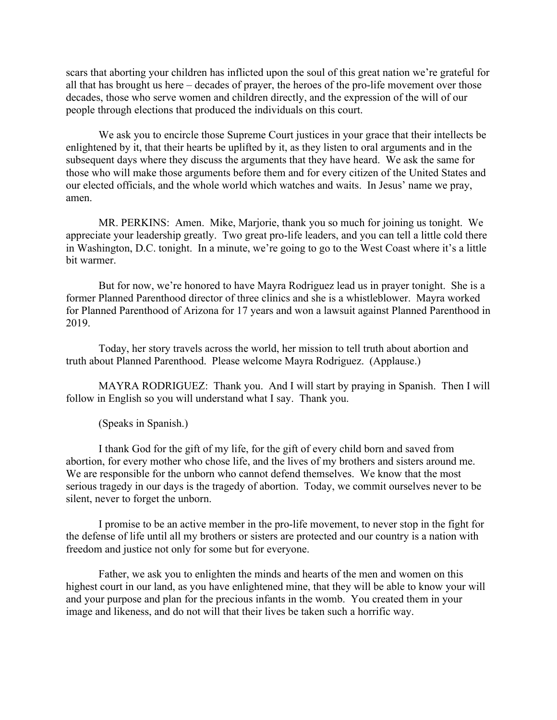scars that aborting your children has inflicted upon the soul of this great nation we're grateful for all that has brought us here – decades of prayer, the heroes of the pro-life movement over those decades, those who serve women and children directly, and the expression of the will of our people through elections that produced the individuals on this court.

We ask you to encircle those Supreme Court justices in your grace that their intellects be enlightened by it, that their hearts be uplifted by it, as they listen to oral arguments and in the subsequent days where they discuss the arguments that they have heard. We ask the same for those who will make those arguments before them and for every citizen of the United States and our elected officials, and the whole world which watches and waits. In Jesus' name we pray, amen.

MR. PERKINS: Amen. Mike, Marjorie, thank you so much for joining us tonight. We appreciate your leadership greatly. Two great pro-life leaders, and you can tell a little cold there in Washington, D.C. tonight. In a minute, we're going to go to the West Coast where it's a little bit warmer.

But for now, we're honored to have Mayra Rodriguez lead us in prayer tonight. She is a former Planned Parenthood director of three clinics and she is a whistleblower. Mayra worked for Planned Parenthood of Arizona for 17 years and won a lawsuit against Planned Parenthood in 2019.

Today, her story travels across the world, her mission to tell truth about abortion and truth about Planned Parenthood. Please welcome Mayra Rodriguez. (Applause.)

MAYRA RODRIGUEZ: Thank you. And I will start by praying in Spanish. Then I will follow in English so you will understand what I say. Thank you.

(Speaks in Spanish.)

I thank God for the gift of my life, for the gift of every child born and saved from abortion, for every mother who chose life, and the lives of my brothers and sisters around me. We are responsible for the unborn who cannot defend themselves. We know that the most serious tragedy in our days is the tragedy of abortion. Today, we commit ourselves never to be silent, never to forget the unborn.

I promise to be an active member in the pro-life movement, to never stop in the fight for the defense of life until all my brothers or sisters are protected and our country is a nation with freedom and justice not only for some but for everyone.

Father, we ask you to enlighten the minds and hearts of the men and women on this highest court in our land, as you have enlightened mine, that they will be able to know your will and your purpose and plan for the precious infants in the womb. You created them in your image and likeness, and do not will that their lives be taken such a horrific way.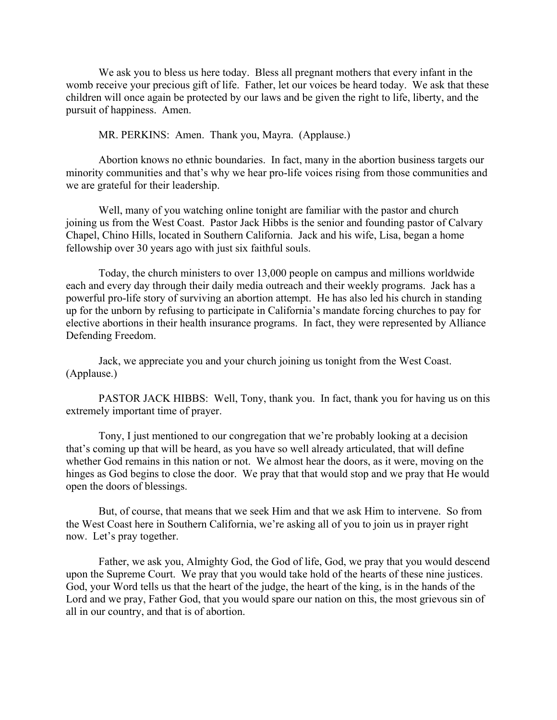We ask you to bless us here today. Bless all pregnant mothers that every infant in the womb receive your precious gift of life. Father, let our voices be heard today. We ask that these children will once again be protected by our laws and be given the right to life, liberty, and the pursuit of happiness. Amen.

MR. PERKINS: Amen. Thank you, Mayra. (Applause.)

Abortion knows no ethnic boundaries. In fact, many in the abortion business targets our minority communities and that's why we hear pro-life voices rising from those communities and we are grateful for their leadership.

Well, many of you watching online tonight are familiar with the pastor and church joining us from the West Coast. Pastor Jack Hibbs is the senior and founding pastor of Calvary Chapel, Chino Hills, located in Southern California. Jack and his wife, Lisa, began a home fellowship over 30 years ago with just six faithful souls.

Today, the church ministers to over 13,000 people on campus and millions worldwide each and every day through their daily media outreach and their weekly programs. Jack has a powerful pro-life story of surviving an abortion attempt. He has also led his church in standing up for the unborn by refusing to participate in California's mandate forcing churches to pay for elective abortions in their health insurance programs. In fact, they were represented by Alliance Defending Freedom.

Jack, we appreciate you and your church joining us tonight from the West Coast. (Applause.)

PASTOR JACK HIBBS: Well, Tony, thank you. In fact, thank you for having us on this extremely important time of prayer.

Tony, I just mentioned to our congregation that we're probably looking at a decision that's coming up that will be heard, as you have so well already articulated, that will define whether God remains in this nation or not. We almost hear the doors, as it were, moving on the hinges as God begins to close the door. We pray that that would stop and we pray that He would open the doors of blessings.

But, of course, that means that we seek Him and that we ask Him to intervene. So from the West Coast here in Southern California, we're asking all of you to join us in prayer right now. Let's pray together.

Father, we ask you, Almighty God, the God of life, God, we pray that you would descend upon the Supreme Court. We pray that you would take hold of the hearts of these nine justices. God, your Word tells us that the heart of the judge, the heart of the king, is in the hands of the Lord and we pray, Father God, that you would spare our nation on this, the most grievous sin of all in our country, and that is of abortion.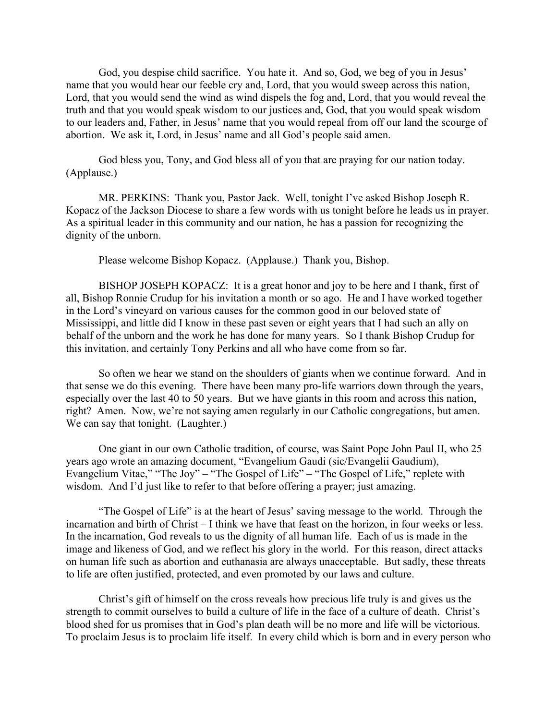God, you despise child sacrifice. You hate it. And so, God, we beg of you in Jesus' name that you would hear our feeble cry and, Lord, that you would sweep across this nation, Lord, that you would send the wind as wind dispels the fog and, Lord, that you would reveal the truth and that you would speak wisdom to our justices and, God, that you would speak wisdom to our leaders and, Father, in Jesus' name that you would repeal from off our land the scourge of abortion. We ask it, Lord, in Jesus' name and all God's people said amen.

God bless you, Tony, and God bless all of you that are praying for our nation today. (Applause.)

MR. PERKINS: Thank you, Pastor Jack. Well, tonight I've asked Bishop Joseph R. Kopacz of the Jackson Diocese to share a few words with us tonight before he leads us in prayer. As a spiritual leader in this community and our nation, he has a passion for recognizing the dignity of the unborn.

Please welcome Bishop Kopacz. (Applause.) Thank you, Bishop.

BISHOP JOSEPH KOPACZ: It is a great honor and joy to be here and I thank, first of all, Bishop Ronnie Crudup for his invitation a month or so ago. He and I have worked together in the Lord's vineyard on various causes for the common good in our beloved state of Mississippi, and little did I know in these past seven or eight years that I had such an ally on behalf of the unborn and the work he has done for many years. So I thank Bishop Crudup for this invitation, and certainly Tony Perkins and all who have come from so far.

So often we hear we stand on the shoulders of giants when we continue forward. And in that sense we do this evening. There have been many pro-life warriors down through the years, especially over the last 40 to 50 years. But we have giants in this room and across this nation, right? Amen. Now, we're not saying amen regularly in our Catholic congregations, but amen. We can say that tonight. (Laughter.)

One giant in our own Catholic tradition, of course, was Saint Pope John Paul II, who 25 years ago wrote an amazing document, "Evangelium Gaudi (sic/Evangelii Gaudium), Evangelium Vitae," "The Joy" – "The Gospel of Life" – "The Gospel of Life," replete with wisdom. And I'd just like to refer to that before offering a prayer; just amazing.

"The Gospel of Life" is at the heart of Jesus' saving message to the world. Through the incarnation and birth of Christ – I think we have that feast on the horizon, in four weeks or less. In the incarnation, God reveals to us the dignity of all human life. Each of us is made in the image and likeness of God, and we reflect his glory in the world. For this reason, direct attacks on human life such as abortion and euthanasia are always unacceptable. But sadly, these threats to life are often justified, protected, and even promoted by our laws and culture.

Christ's gift of himself on the cross reveals how precious life truly is and gives us the strength to commit ourselves to build a culture of life in the face of a culture of death. Christ's blood shed for us promises that in God's plan death will be no more and life will be victorious. To proclaim Jesus is to proclaim life itself. In every child which is born and in every person who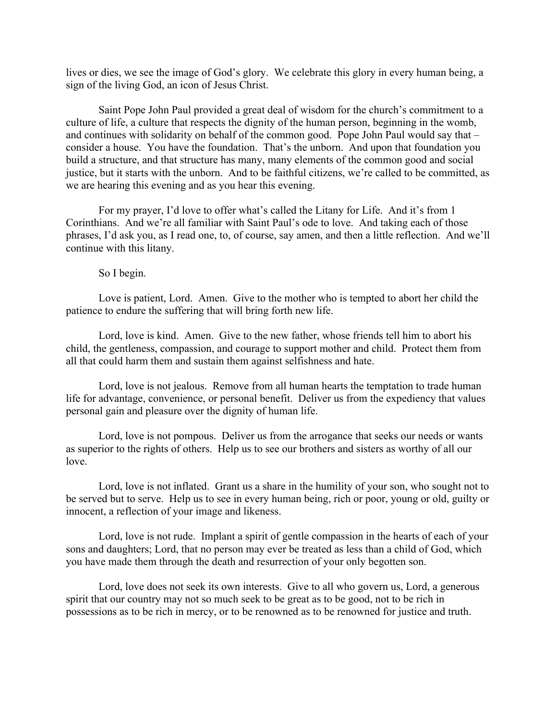lives or dies, we see the image of God's glory. We celebrate this glory in every human being, a sign of the living God, an icon of Jesus Christ.

Saint Pope John Paul provided a great deal of wisdom for the church's commitment to a culture of life, a culture that respects the dignity of the human person, beginning in the womb, and continues with solidarity on behalf of the common good. Pope John Paul would say that – consider a house. You have the foundation. That's the unborn. And upon that foundation you build a structure, and that structure has many, many elements of the common good and social justice, but it starts with the unborn. And to be faithful citizens, we're called to be committed, as we are hearing this evening and as you hear this evening.

For my prayer, I'd love to offer what's called the Litany for Life. And it's from 1 Corinthians. And we're all familiar with Saint Paul's ode to love. And taking each of those phrases, I'd ask you, as I read one, to, of course, say amen, and then a little reflection. And we'll continue with this litany.

So I begin.

Love is patient, Lord. Amen. Give to the mother who is tempted to abort her child the patience to endure the suffering that will bring forth new life.

Lord, love is kind. Amen. Give to the new father, whose friends tell him to abort his child, the gentleness, compassion, and courage to support mother and child. Protect them from all that could harm them and sustain them against selfishness and hate.

Lord, love is not jealous. Remove from all human hearts the temptation to trade human life for advantage, convenience, or personal benefit. Deliver us from the expediency that values personal gain and pleasure over the dignity of human life.

Lord, love is not pompous. Deliver us from the arrogance that seeks our needs or wants as superior to the rights of others. Help us to see our brothers and sisters as worthy of all our love.

Lord, love is not inflated. Grant us a share in the humility of your son, who sought not to be served but to serve. Help us to see in every human being, rich or poor, young or old, guilty or innocent, a reflection of your image and likeness.

Lord, love is not rude. Implant a spirit of gentle compassion in the hearts of each of your sons and daughters; Lord, that no person may ever be treated as less than a child of God, which you have made them through the death and resurrection of your only begotten son.

Lord, love does not seek its own interests. Give to all who govern us, Lord, a generous spirit that our country may not so much seek to be great as to be good, not to be rich in possessions as to be rich in mercy, or to be renowned as to be renowned for justice and truth.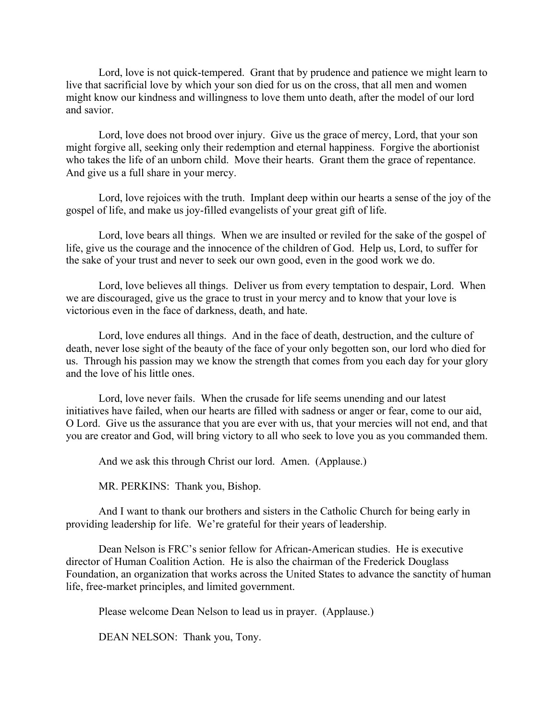Lord, love is not quick-tempered. Grant that by prudence and patience we might learn to live that sacrificial love by which your son died for us on the cross, that all men and women might know our kindness and willingness to love them unto death, after the model of our lord and savior.

Lord, love does not brood over injury. Give us the grace of mercy, Lord, that your son might forgive all, seeking only their redemption and eternal happiness. Forgive the abortionist who takes the life of an unborn child. Move their hearts. Grant them the grace of repentance. And give us a full share in your mercy.

Lord, love rejoices with the truth. Implant deep within our hearts a sense of the joy of the gospel of life, and make us joy-filled evangelists of your great gift of life.

Lord, love bears all things. When we are insulted or reviled for the sake of the gospel of life, give us the courage and the innocence of the children of God. Help us, Lord, to suffer for the sake of your trust and never to seek our own good, even in the good work we do.

Lord, love believes all things. Deliver us from every temptation to despair, Lord. When we are discouraged, give us the grace to trust in your mercy and to know that your love is victorious even in the face of darkness, death, and hate.

Lord, love endures all things. And in the face of death, destruction, and the culture of death, never lose sight of the beauty of the face of your only begotten son, our lord who died for us. Through his passion may we know the strength that comes from you each day for your glory and the love of his little ones.

Lord, love never fails. When the crusade for life seems unending and our latest initiatives have failed, when our hearts are filled with sadness or anger or fear, come to our aid, O Lord. Give us the assurance that you are ever with us, that your mercies will not end, and that you are creator and God, will bring victory to all who seek to love you as you commanded them.

And we ask this through Christ our lord. Amen. (Applause.)

MR. PERKINS: Thank you, Bishop.

And I want to thank our brothers and sisters in the Catholic Church for being early in providing leadership for life. We're grateful for their years of leadership.

Dean Nelson is FRC's senior fellow for African-American studies. He is executive director of Human Coalition Action. He is also the chairman of the Frederick Douglass Foundation, an organization that works across the United States to advance the sanctity of human life, free-market principles, and limited government.

Please welcome Dean Nelson to lead us in prayer. (Applause.)

DEAN NELSON: Thank you, Tony.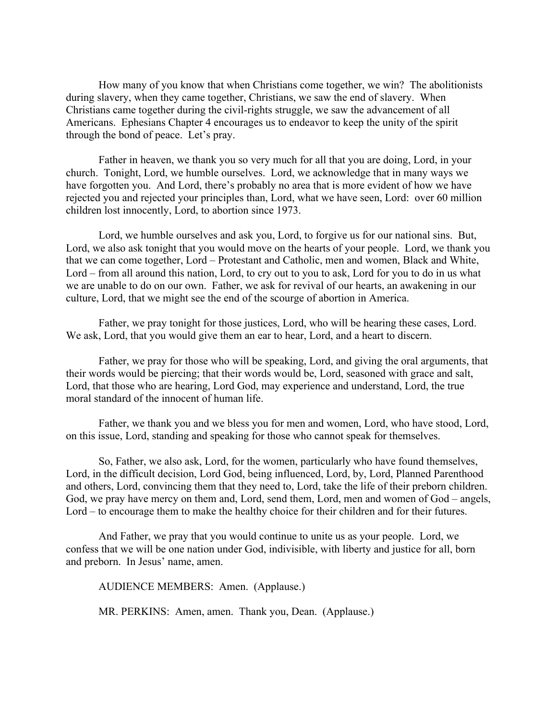How many of you know that when Christians come together, we win? The abolitionists during slavery, when they came together, Christians, we saw the end of slavery. When Christians came together during the civil-rights struggle, we saw the advancement of all Americans. Ephesians Chapter 4 encourages us to endeavor to keep the unity of the spirit through the bond of peace. Let's pray.

Father in heaven, we thank you so very much for all that you are doing, Lord, in your church. Tonight, Lord, we humble ourselves. Lord, we acknowledge that in many ways we have forgotten you. And Lord, there's probably no area that is more evident of how we have rejected you and rejected your principles than, Lord, what we have seen, Lord: over 60 million children lost innocently, Lord, to abortion since 1973.

Lord, we humble ourselves and ask you, Lord, to forgive us for our national sins. But, Lord, we also ask tonight that you would move on the hearts of your people. Lord, we thank you that we can come together, Lord – Protestant and Catholic, men and women, Black and White, Lord – from all around this nation, Lord, to cry out to you to ask, Lord for you to do in us what we are unable to do on our own. Father, we ask for revival of our hearts, an awakening in our culture, Lord, that we might see the end of the scourge of abortion in America.

Father, we pray tonight for those justices, Lord, who will be hearing these cases, Lord. We ask, Lord, that you would give them an ear to hear, Lord, and a heart to discern.

Father, we pray for those who will be speaking, Lord, and giving the oral arguments, that their words would be piercing; that their words would be, Lord, seasoned with grace and salt, Lord, that those who are hearing, Lord God, may experience and understand, Lord, the true moral standard of the innocent of human life.

Father, we thank you and we bless you for men and women, Lord, who have stood, Lord, on this issue, Lord, standing and speaking for those who cannot speak for themselves.

So, Father, we also ask, Lord, for the women, particularly who have found themselves, Lord, in the difficult decision, Lord God, being influenced, Lord, by, Lord, Planned Parenthood and others, Lord, convincing them that they need to, Lord, take the life of their preborn children. God, we pray have mercy on them and, Lord, send them, Lord, men and women of God – angels, Lord – to encourage them to make the healthy choice for their children and for their futures.

And Father, we pray that you would continue to unite us as your people. Lord, we confess that we will be one nation under God, indivisible, with liberty and justice for all, born and preborn. In Jesus' name, amen.

AUDIENCE MEMBERS: Amen. (Applause.)

MR. PERKINS: Amen, amen. Thank you, Dean. (Applause.)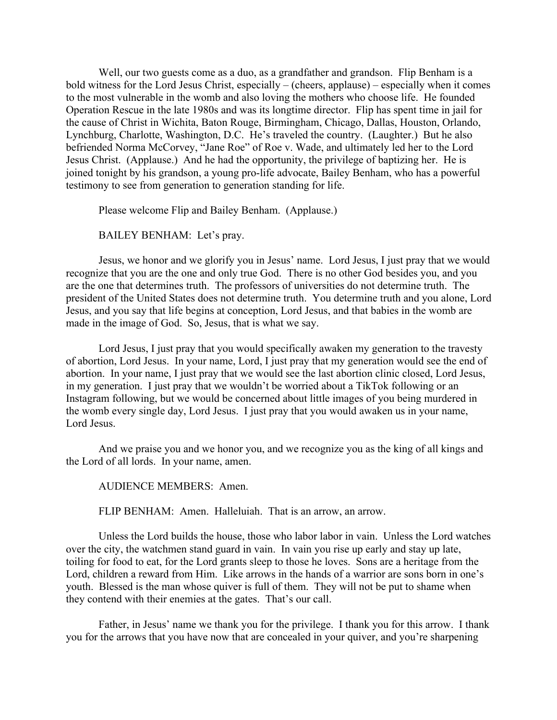Well, our two guests come as a duo, as a grandfather and grandson. Flip Benham is a bold witness for the Lord Jesus Christ, especially – (cheers, applause) – especially when it comes to the most vulnerable in the womb and also loving the mothers who choose life. He founded Operation Rescue in the late 1980s and was its longtime director. Flip has spent time in jail for the cause of Christ in Wichita, Baton Rouge, Birmingham, Chicago, Dallas, Houston, Orlando, Lynchburg, Charlotte, Washington, D.C. He's traveled the country. (Laughter.) But he also befriended Norma McCorvey, "Jane Roe" of Roe v. Wade, and ultimately led her to the Lord Jesus Christ. (Applause.) And he had the opportunity, the privilege of baptizing her. He is joined tonight by his grandson, a young pro-life advocate, Bailey Benham, who has a powerful testimony to see from generation to generation standing for life.

Please welcome Flip and Bailey Benham. (Applause.)

BAILEY BENHAM: Let's pray.

Jesus, we honor and we glorify you in Jesus' name. Lord Jesus, I just pray that we would recognize that you are the one and only true God. There is no other God besides you, and you are the one that determines truth. The professors of universities do not determine truth. The president of the United States does not determine truth. You determine truth and you alone, Lord Jesus, and you say that life begins at conception, Lord Jesus, and that babies in the womb are made in the image of God. So, Jesus, that is what we say.

Lord Jesus, I just pray that you would specifically awaken my generation to the travesty of abortion, Lord Jesus. In your name, Lord, I just pray that my generation would see the end of abortion. In your name, I just pray that we would see the last abortion clinic closed, Lord Jesus, in my generation. I just pray that we wouldn't be worried about a TikTok following or an Instagram following, but we would be concerned about little images of you being murdered in the womb every single day, Lord Jesus. I just pray that you would awaken us in your name, Lord Jesus.

And we praise you and we honor you, and we recognize you as the king of all kings and the Lord of all lords. In your name, amen.

AUDIENCE MEMBERS: Amen.

FLIP BENHAM: Amen. Halleluiah. That is an arrow, an arrow.

Unless the Lord builds the house, those who labor labor in vain. Unless the Lord watches over the city, the watchmen stand guard in vain. In vain you rise up early and stay up late, toiling for food to eat, for the Lord grants sleep to those he loves. Sons are a heritage from the Lord, children a reward from Him. Like arrows in the hands of a warrior are sons born in one's youth. Blessed is the man whose quiver is full of them. They will not be put to shame when they contend with their enemies at the gates. That's our call.

Father, in Jesus' name we thank you for the privilege. I thank you for this arrow. I thank you for the arrows that you have now that are concealed in your quiver, and you're sharpening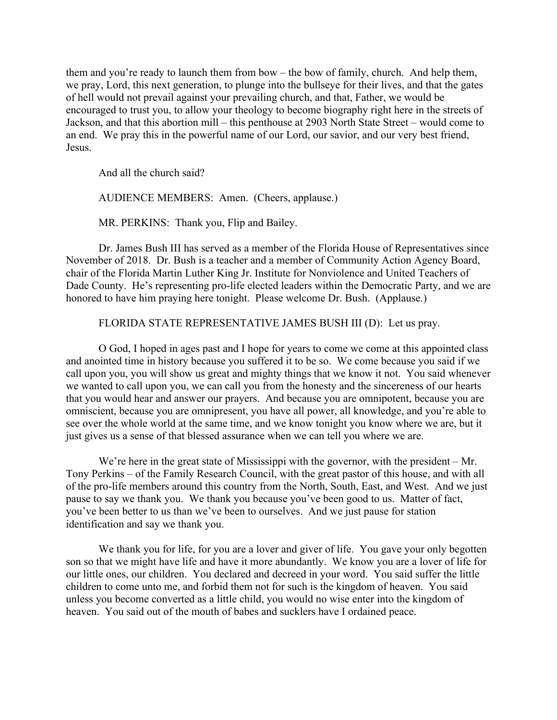them and you're ready to launch them from bow – the bow of family, church. And help them, we pray, Lord, this next generation, to plunge into the bullseye for their lives, and that the gates of hell would not prevail against your prevailing church, and that, Father, we would be encouraged to trust you, to allow your theology to become biography right here in the streets of Jackson, and that this abortion mill – this penthouse at 2903 North State Street – would come to an end. We pray this in the powerful name of our Lord, our savior, and our very best friend, Jesus.

And all the church said?

AUDIENCE MEMBERS: Amen. (Cheers, applause.)

MR. PERKINS: Thank you, Flip and Bailey.

Dr. James Bush III has served as a member of the Florida House of Representatives since November of 2018. Dr. Bush is a teacher and a member of Community Action Agency Board, chair of the Florida Martin Luther King Jr. Institute for Nonviolence and United Teachers of Dade County. He's representing pro-life elected leaders within the Democratic Party, and we are honored to have him praying here tonight. Please welcome Dr. Bush. (Applause.)

FLORIDA STATE REPRESENTATIVE JAMES BUSH III (D): Let us pray.

O God, I hoped in ages past and I hope for years to come we come at this appointed class and anointed time in history because you suffered it to be so. We come because you said if we call upon you, you will show us great and mighty things that we know it not. You said whenever we wanted to call upon you, we can call you from the honesty and the sincereness of our hearts that you would hear and answer our prayers. And because you are omnipotent, because you are omniscient, because you are omnipresent, you have all power, all knowledge, and you're able to see over the whole world at the same time, and we know tonight you know where we are, but it just gives us a sense of that blessed assurance when we can tell you where we are.

We're here in the great state of Mississippi with the governor, with the president – Mr. Tony Perkins – of the Family Research Council, with the great pastor of this house, and with all of the pro-life members around this country from the North, South, East, and West. And we just pause to say we thank you. We thank you because you've been good to us. Matter of fact, you've been better to us than we've been to ourselves. And we just pause for station identification and say we thank you.

We thank you for life, for you are a lover and giver of life. You gave your only begotten son so that we might have life and have it more abundantly. We know you are a lover of life for our little ones, our children. You declared and decreed in your word. You said suffer the little children to come unto me, and forbid them not for such is the kingdom of heaven. You said unless you become converted as a little child, you would no wise enter into the kingdom of heaven. You said out of the mouth of babes and sucklers have I ordained peace.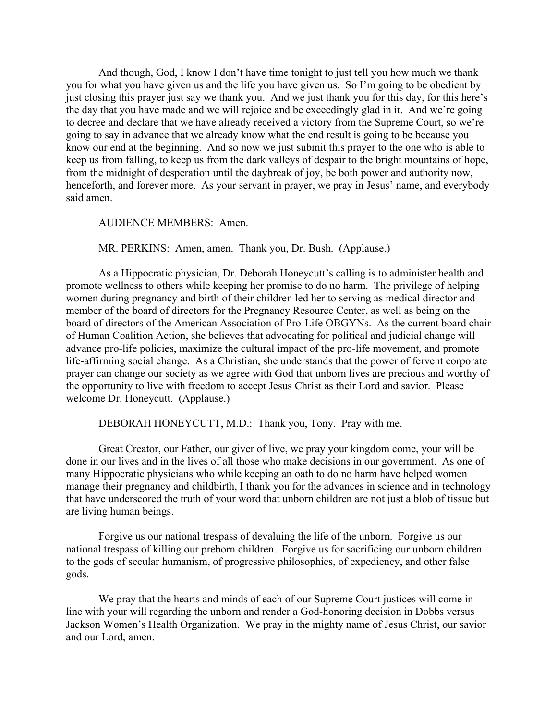And though, God, I know I don't have time tonight to just tell you how much we thank you for what you have given us and the life you have given us. So I'm going to be obedient by just closing this prayer just say we thank you. And we just thank you for this day, for this here's the day that you have made and we will rejoice and be exceedingly glad in it. And we're going to decree and declare that we have already received a victory from the Supreme Court, so we're going to say in advance that we already know what the end result is going to be because you know our end at the beginning. And so now we just submit this prayer to the one who is able to keep us from falling, to keep us from the dark valleys of despair to the bright mountains of hope, from the midnight of desperation until the daybreak of joy, be both power and authority now, henceforth, and forever more. As your servant in prayer, we pray in Jesus' name, and everybody said amen.

#### AUDIENCE MEMBERS: Amen.

MR. PERKINS: Amen, amen. Thank you, Dr. Bush. (Applause.)

As a Hippocratic physician, Dr. Deborah Honeycutt's calling is to administer health and promote wellness to others while keeping her promise to do no harm. The privilege of helping women during pregnancy and birth of their children led her to serving as medical director and member of the board of directors for the Pregnancy Resource Center, as well as being on the board of directors of the American Association of Pro-Life OBGYNs. As the current board chair of Human Coalition Action, she believes that advocating for political and judicial change will advance pro-life policies, maximize the cultural impact of the pro-life movement, and promote life-affirming social change. As a Christian, she understands that the power of fervent corporate prayer can change our society as we agree with God that unborn lives are precious and worthy of the opportunity to live with freedom to accept Jesus Christ as their Lord and savior. Please welcome Dr. Honeycutt. (Applause.)

DEBORAH HONEYCUTT, M.D.: Thank you, Tony. Pray with me.

Great Creator, our Father, our giver of live, we pray your kingdom come, your will be done in our lives and in the lives of all those who make decisions in our government. As one of many Hippocratic physicians who while keeping an oath to do no harm have helped women manage their pregnancy and childbirth, I thank you for the advances in science and in technology that have underscored the truth of your word that unborn children are not just a blob of tissue but are living human beings.

Forgive us our national trespass of devaluing the life of the unborn. Forgive us our national trespass of killing our preborn children. Forgive us for sacrificing our unborn children to the gods of secular humanism, of progressive philosophies, of expediency, and other false gods.

We pray that the hearts and minds of each of our Supreme Court justices will come in line with your will regarding the unborn and render a God-honoring decision in Dobbs versus Jackson Women's Health Organization. We pray in the mighty name of Jesus Christ, our savior and our Lord, amen.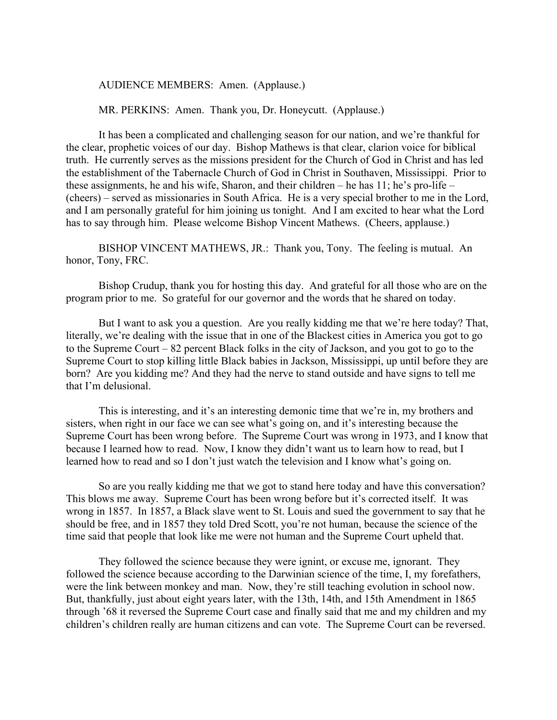#### AUDIENCE MEMBERS: Amen. (Applause.)

MR. PERKINS: Amen. Thank you, Dr. Honeycutt. (Applause.)

It has been a complicated and challenging season for our nation, and we're thankful for the clear, prophetic voices of our day. Bishop Mathews is that clear, clarion voice for biblical truth. He currently serves as the missions president for the Church of God in Christ and has led the establishment of the Tabernacle Church of God in Christ in Southaven, Mississippi. Prior to these assignments, he and his wife, Sharon, and their children – he has 11; he's pro-life – (cheers) – served as missionaries in South Africa. He is a very special brother to me in the Lord, and I am personally grateful for him joining us tonight. And I am excited to hear what the Lord has to say through him. Please welcome Bishop Vincent Mathews. (Cheers, applause.)

BISHOP VINCENT MATHEWS, JR.: Thank you, Tony. The feeling is mutual. An honor, Tony, FRC.

Bishop Crudup, thank you for hosting this day. And grateful for all those who are on the program prior to me. So grateful for our governor and the words that he shared on today.

But I want to ask you a question. Are you really kidding me that we're here today? That, literally, we're dealing with the issue that in one of the Blackest cities in America you got to go to the Supreme Court – 82 percent Black folks in the city of Jackson, and you got to go to the Supreme Court to stop killing little Black babies in Jackson, Mississippi, up until before they are born? Are you kidding me? And they had the nerve to stand outside and have signs to tell me that I'm delusional.

This is interesting, and it's an interesting demonic time that we're in, my brothers and sisters, when right in our face we can see what's going on, and it's interesting because the Supreme Court has been wrong before. The Supreme Court was wrong in 1973, and I know that because I learned how to read. Now, I know they didn't want us to learn how to read, but I learned how to read and so I don't just watch the television and I know what's going on.

So are you really kidding me that we got to stand here today and have this conversation? This blows me away. Supreme Court has been wrong before but it's corrected itself. It was wrong in 1857. In 1857, a Black slave went to St. Louis and sued the government to say that he should be free, and in 1857 they told Dred Scott, you're not human, because the science of the time said that people that look like me were not human and the Supreme Court upheld that.

They followed the science because they were ignint, or excuse me, ignorant. They followed the science because according to the Darwinian science of the time, I, my forefathers, were the link between monkey and man. Now, they're still teaching evolution in school now. But, thankfully, just about eight years later, with the 13th, 14th, and 15th Amendment in 1865 through '68 it reversed the Supreme Court case and finally said that me and my children and my children's children really are human citizens and can vote. The Supreme Court can be reversed.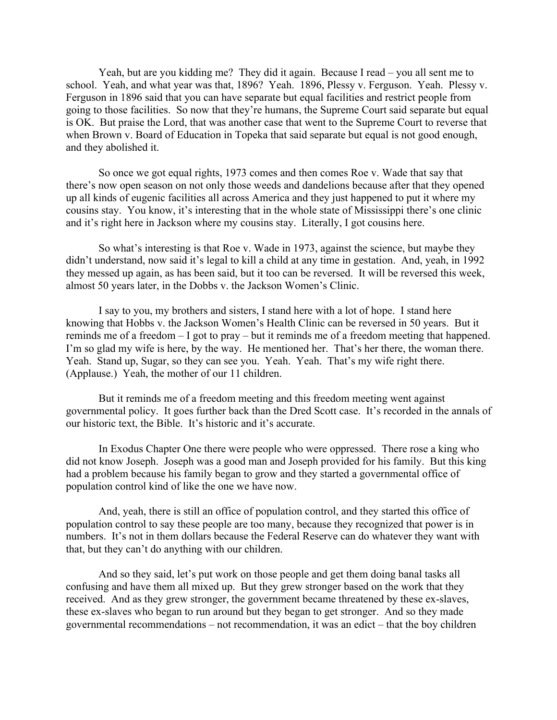Yeah, but are you kidding me? They did it again. Because I read – you all sent me to school. Yeah, and what year was that, 1896? Yeah. 1896, Plessy v. Ferguson. Yeah. Plessy v. Ferguson in 1896 said that you can have separate but equal facilities and restrict people from going to those facilities. So now that they're humans, the Supreme Court said separate but equal is OK. But praise the Lord, that was another case that went to the Supreme Court to reverse that when Brown v. Board of Education in Topeka that said separate but equal is not good enough, and they abolished it.

So once we got equal rights, 1973 comes and then comes Roe v. Wade that say that there's now open season on not only those weeds and dandelions because after that they opened up all kinds of eugenic facilities all across America and they just happened to put it where my cousins stay. You know, it's interesting that in the whole state of Mississippi there's one clinic and it's right here in Jackson where my cousins stay. Literally, I got cousins here.

So what's interesting is that Roe v. Wade in 1973, against the science, but maybe they didn't understand, now said it's legal to kill a child at any time in gestation. And, yeah, in 1992 they messed up again, as has been said, but it too can be reversed. It will be reversed this week, almost 50 years later, in the Dobbs v. the Jackson Women's Clinic.

I say to you, my brothers and sisters, I stand here with a lot of hope. I stand here knowing that Hobbs v. the Jackson Women's Health Clinic can be reversed in 50 years. But it reminds me of a freedom – I got to pray – but it reminds me of a freedom meeting that happened. I'm so glad my wife is here, by the way. He mentioned her. That's her there, the woman there. Yeah. Stand up, Sugar, so they can see you. Yeah. Yeah. That's my wife right there. (Applause.) Yeah, the mother of our 11 children.

But it reminds me of a freedom meeting and this freedom meeting went against governmental policy. It goes further back than the Dred Scott case. It's recorded in the annals of our historic text, the Bible. It's historic and it's accurate.

In Exodus Chapter One there were people who were oppressed. There rose a king who did not know Joseph. Joseph was a good man and Joseph provided for his family. But this king had a problem because his family began to grow and they started a governmental office of population control kind of like the one we have now.

And, yeah, there is still an office of population control, and they started this office of population control to say these people are too many, because they recognized that power is in numbers. It's not in them dollars because the Federal Reserve can do whatever they want with that, but they can't do anything with our children.

And so they said, let's put work on those people and get them doing banal tasks all confusing and have them all mixed up. But they grew stronger based on the work that they received. And as they grew stronger, the government became threatened by these ex-slaves, these ex-slaves who began to run around but they began to get stronger. And so they made governmental recommendations – not recommendation, it was an edict – that the boy children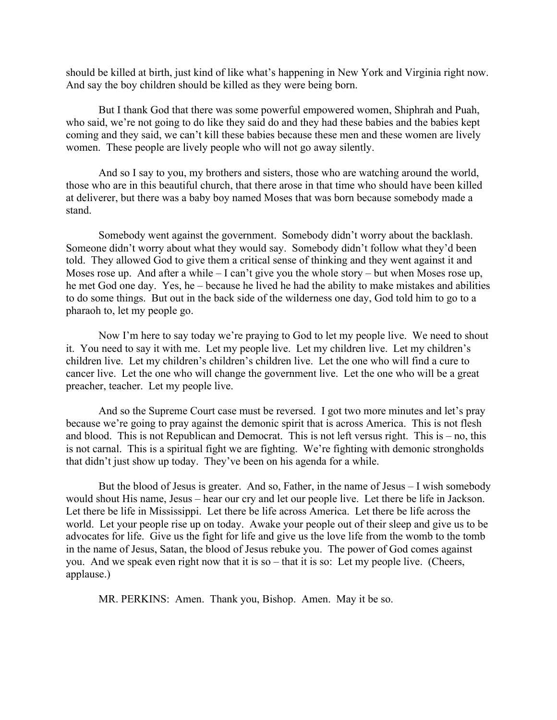should be killed at birth, just kind of like what's happening in New York and Virginia right now. And say the boy children should be killed as they were being born.

But I thank God that there was some powerful empowered women, Shiphrah and Puah, who said, we're not going to do like they said do and they had these babies and the babies kept coming and they said, we can't kill these babies because these men and these women are lively women. These people are lively people who will not go away silently.

And so I say to you, my brothers and sisters, those who are watching around the world, those who are in this beautiful church, that there arose in that time who should have been killed at deliverer, but there was a baby boy named Moses that was born because somebody made a stand.

Somebody went against the government. Somebody didn't worry about the backlash. Someone didn't worry about what they would say. Somebody didn't follow what they'd been told. They allowed God to give them a critical sense of thinking and they went against it and Moses rose up. And after a while – I can't give you the whole story – but when Moses rose up, he met God one day. Yes, he – because he lived he had the ability to make mistakes and abilities to do some things. But out in the back side of the wilderness one day, God told him to go to a pharaoh to, let my people go.

Now I'm here to say today we're praying to God to let my people live. We need to shout it. You need to say it with me. Let my people live. Let my children live. Let my children's children live. Let my children's children's children live. Let the one who will find a cure to cancer live. Let the one who will change the government live. Let the one who will be a great preacher, teacher. Let my people live.

And so the Supreme Court case must be reversed. I got two more minutes and let's pray because we're going to pray against the demonic spirit that is across America. This is not flesh and blood. This is not Republican and Democrat. This is not left versus right. This is – no, this is not carnal. This is a spiritual fight we are fighting. We're fighting with demonic strongholds that didn't just show up today. They've been on his agenda for a while.

But the blood of Jesus is greater. And so, Father, in the name of Jesus – I wish somebody would shout His name, Jesus – hear our cry and let our people live. Let there be life in Jackson. Let there be life in Mississippi. Let there be life across America. Let there be life across the world. Let your people rise up on today. Awake your people out of their sleep and give us to be advocates for life. Give us the fight for life and give us the love life from the womb to the tomb in the name of Jesus, Satan, the blood of Jesus rebuke you. The power of God comes against you. And we speak even right now that it is so – that it is so: Let my people live. (Cheers, applause.)

MR. PERKINS: Amen. Thank you, Bishop. Amen. May it be so.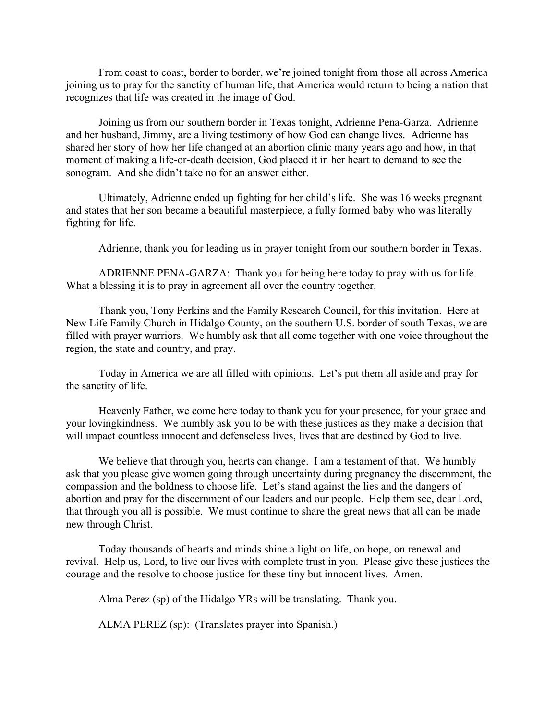From coast to coast, border to border, we're joined tonight from those all across America joining us to pray for the sanctity of human life, that America would return to being a nation that recognizes that life was created in the image of God.

Joining us from our southern border in Texas tonight, Adrienne Pena-Garza. Adrienne and her husband, Jimmy, are a living testimony of how God can change lives. Adrienne has shared her story of how her life changed at an abortion clinic many years ago and how, in that moment of making a life-or-death decision, God placed it in her heart to demand to see the sonogram. And she didn't take no for an answer either.

Ultimately, Adrienne ended up fighting for her child's life. She was 16 weeks pregnant and states that her son became a beautiful masterpiece, a fully formed baby who was literally fighting for life.

Adrienne, thank you for leading us in prayer tonight from our southern border in Texas.

ADRIENNE PENA-GARZA: Thank you for being here today to pray with us for life. What a blessing it is to pray in agreement all over the country together.

Thank you, Tony Perkins and the Family Research Council, for this invitation. Here at New Life Family Church in Hidalgo County, on the southern U.S. border of south Texas, we are filled with prayer warriors. We humbly ask that all come together with one voice throughout the region, the state and country, and pray.

Today in America we are all filled with opinions. Let's put them all aside and pray for the sanctity of life.

Heavenly Father, we come here today to thank you for your presence, for your grace and your lovingkindness. We humbly ask you to be with these justices as they make a decision that will impact countless innocent and defenseless lives, lives that are destined by God to live.

We believe that through you, hearts can change. I am a testament of that. We humbly ask that you please give women going through uncertainty during pregnancy the discernment, the compassion and the boldness to choose life. Let's stand against the lies and the dangers of abortion and pray for the discernment of our leaders and our people. Help them see, dear Lord, that through you all is possible. We must continue to share the great news that all can be made new through Christ.

Today thousands of hearts and minds shine a light on life, on hope, on renewal and revival. Help us, Lord, to live our lives with complete trust in you. Please give these justices the courage and the resolve to choose justice for these tiny but innocent lives. Amen.

Alma Perez (sp) of the Hidalgo YRs will be translating. Thank you.

ALMA PEREZ (sp): (Translates prayer into Spanish.)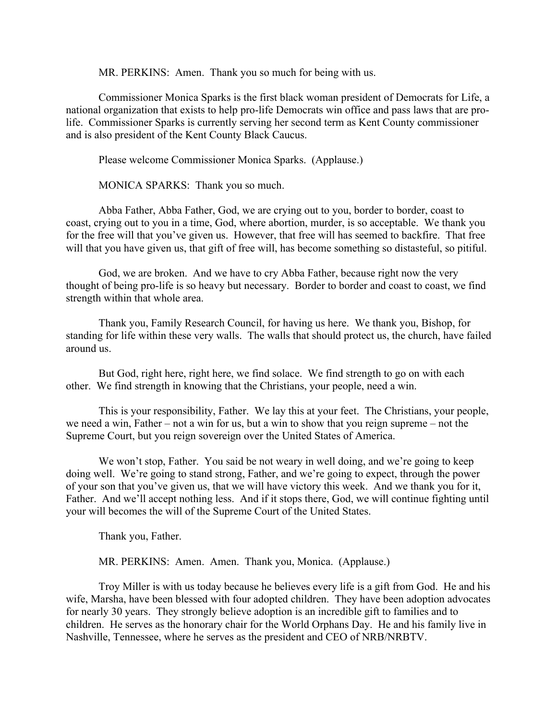MR. PERKINS: Amen. Thank you so much for being with us.

Commissioner Monica Sparks is the first black woman president of Democrats for Life, a national organization that exists to help pro-life Democrats win office and pass laws that are prolife. Commissioner Sparks is currently serving her second term as Kent County commissioner and is also president of the Kent County Black Caucus.

Please welcome Commissioner Monica Sparks. (Applause.)

MONICA SPARKS: Thank you so much.

Abba Father, Abba Father, God, we are crying out to you, border to border, coast to coast, crying out to you in a time, God, where abortion, murder, is so acceptable. We thank you for the free will that you've given us. However, that free will has seemed to backfire. That free will that you have given us, that gift of free will, has become something so distasteful, so pitiful.

God, we are broken. And we have to cry Abba Father, because right now the very thought of being pro-life is so heavy but necessary. Border to border and coast to coast, we find strength within that whole area.

Thank you, Family Research Council, for having us here. We thank you, Bishop, for standing for life within these very walls. The walls that should protect us, the church, have failed around us.

But God, right here, right here, we find solace. We find strength to go on with each other. We find strength in knowing that the Christians, your people, need a win.

This is your responsibility, Father. We lay this at your feet. The Christians, your people, we need a win, Father – not a win for us, but a win to show that you reign supreme – not the Supreme Court, but you reign sovereign over the United States of America.

We won't stop, Father. You said be not weary in well doing, and we're going to keep doing well. We're going to stand strong, Father, and we're going to expect, through the power of your son that you've given us, that we will have victory this week. And we thank you for it, Father. And we'll accept nothing less. And if it stops there, God, we will continue fighting until your will becomes the will of the Supreme Court of the United States.

Thank you, Father.

MR. PERKINS: Amen. Amen. Thank you, Monica. (Applause.)

Troy Miller is with us today because he believes every life is a gift from God. He and his wife, Marsha, have been blessed with four adopted children. They have been adoption advocates for nearly 30 years. They strongly believe adoption is an incredible gift to families and to children. He serves as the honorary chair for the World Orphans Day. He and his family live in Nashville, Tennessee, where he serves as the president and CEO of NRB/NRBTV.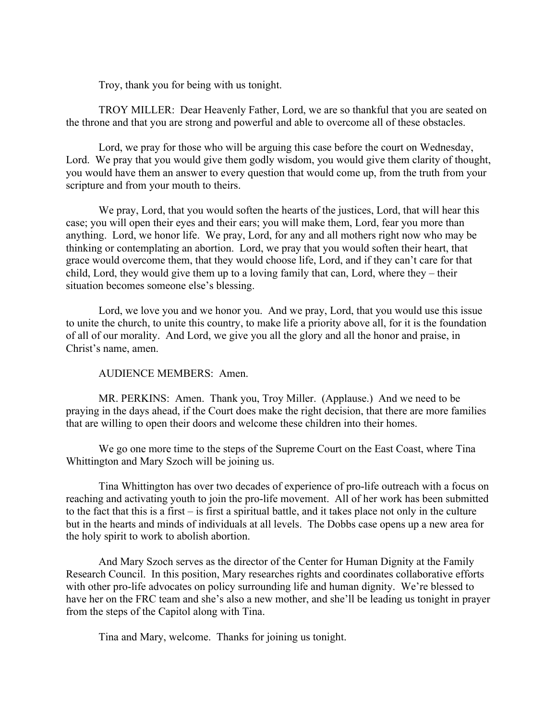Troy, thank you for being with us tonight.

TROY MILLER: Dear Heavenly Father, Lord, we are so thankful that you are seated on the throne and that you are strong and powerful and able to overcome all of these obstacles.

Lord, we pray for those who will be arguing this case before the court on Wednesday, Lord. We pray that you would give them godly wisdom, you would give them clarity of thought, you would have them an answer to every question that would come up, from the truth from your scripture and from your mouth to theirs.

We pray, Lord, that you would soften the hearts of the justices, Lord, that will hear this case; you will open their eyes and their ears; you will make them, Lord, fear you more than anything. Lord, we honor life. We pray, Lord, for any and all mothers right now who may be thinking or contemplating an abortion. Lord, we pray that you would soften their heart, that grace would overcome them, that they would choose life, Lord, and if they can't care for that child, Lord, they would give them up to a loving family that can, Lord, where they – their situation becomes someone else's blessing.

Lord, we love you and we honor you. And we pray, Lord, that you would use this issue to unite the church, to unite this country, to make life a priority above all, for it is the foundation of all of our morality. And Lord, we give you all the glory and all the honor and praise, in Christ's name, amen.

AUDIENCE MEMBERS: Amen.

MR. PERKINS: Amen. Thank you, Troy Miller. (Applause.) And we need to be praying in the days ahead, if the Court does make the right decision, that there are more families that are willing to open their doors and welcome these children into their homes.

We go one more time to the steps of the Supreme Court on the East Coast, where Tina Whittington and Mary Szoch will be joining us.

Tina Whittington has over two decades of experience of pro-life outreach with a focus on reaching and activating youth to join the pro-life movement. All of her work has been submitted to the fact that this is a first – is first a spiritual battle, and it takes place not only in the culture but in the hearts and minds of individuals at all levels. The Dobbs case opens up a new area for the holy spirit to work to abolish abortion.

And Mary Szoch serves as the director of the Center for Human Dignity at the Family Research Council. In this position, Mary researches rights and coordinates collaborative efforts with other pro-life advocates on policy surrounding life and human dignity. We're blessed to have her on the FRC team and she's also a new mother, and she'll be leading us tonight in prayer from the steps of the Capitol along with Tina.

Tina and Mary, welcome. Thanks for joining us tonight.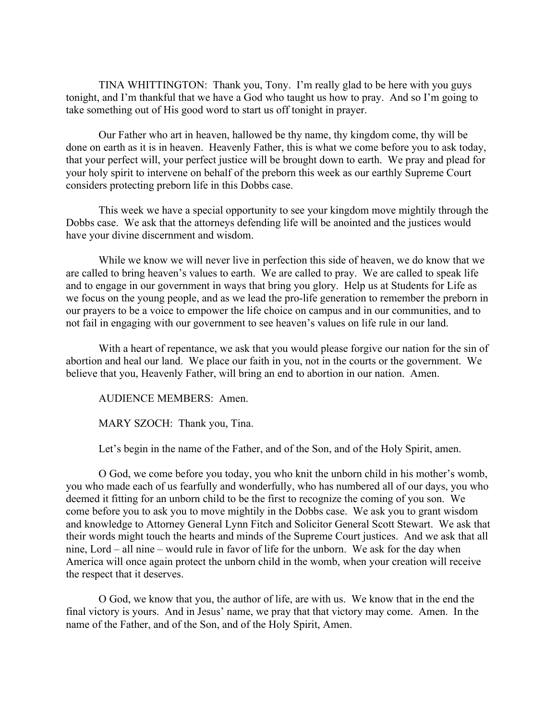TINA WHITTINGTON: Thank you, Tony. I'm really glad to be here with you guys tonight, and I'm thankful that we have a God who taught us how to pray. And so I'm going to take something out of His good word to start us off tonight in prayer.

Our Father who art in heaven, hallowed be thy name, thy kingdom come, thy will be done on earth as it is in heaven. Heavenly Father, this is what we come before you to ask today, that your perfect will, your perfect justice will be brought down to earth. We pray and plead for your holy spirit to intervene on behalf of the preborn this week as our earthly Supreme Court considers protecting preborn life in this Dobbs case.

This week we have a special opportunity to see your kingdom move mightily through the Dobbs case. We ask that the attorneys defending life will be anointed and the justices would have your divine discernment and wisdom.

While we know we will never live in perfection this side of heaven, we do know that we are called to bring heaven's values to earth. We are called to pray. We are called to speak life and to engage in our government in ways that bring you glory. Help us at Students for Life as we focus on the young people, and as we lead the pro-life generation to remember the preborn in our prayers to be a voice to empower the life choice on campus and in our communities, and to not fail in engaging with our government to see heaven's values on life rule in our land.

With a heart of repentance, we ask that you would please forgive our nation for the sin of abortion and heal our land. We place our faith in you, not in the courts or the government. We believe that you, Heavenly Father, will bring an end to abortion in our nation. Amen.

AUDIENCE MEMBERS: Amen.

MARY SZOCH: Thank you, Tina.

Let's begin in the name of the Father, and of the Son, and of the Holy Spirit, amen.

O God, we come before you today, you who knit the unborn child in his mother's womb, you who made each of us fearfully and wonderfully, who has numbered all of our days, you who deemed it fitting for an unborn child to be the first to recognize the coming of you son. We come before you to ask you to move mightily in the Dobbs case. We ask you to grant wisdom and knowledge to Attorney General Lynn Fitch and Solicitor General Scott Stewart. We ask that their words might touch the hearts and minds of the Supreme Court justices. And we ask that all nine, Lord – all nine – would rule in favor of life for the unborn. We ask for the day when America will once again protect the unborn child in the womb, when your creation will receive the respect that it deserves.

O God, we know that you, the author of life, are with us. We know that in the end the final victory is yours. And in Jesus' name, we pray that that victory may come. Amen. In the name of the Father, and of the Son, and of the Holy Spirit, Amen.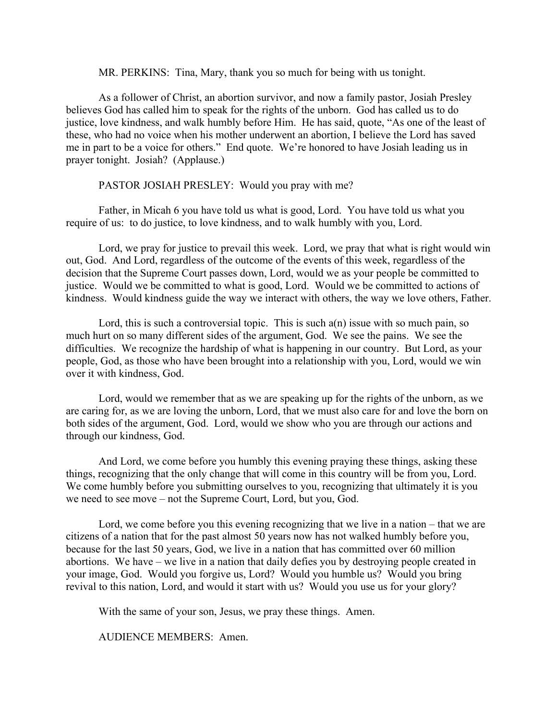MR. PERKINS: Tina, Mary, thank you so much for being with us tonight.

As a follower of Christ, an abortion survivor, and now a family pastor, Josiah Presley believes God has called him to speak for the rights of the unborn. God has called us to do justice, love kindness, and walk humbly before Him. He has said, quote, "As one of the least of these, who had no voice when his mother underwent an abortion, I believe the Lord has saved me in part to be a voice for others." End quote. We're honored to have Josiah leading us in prayer tonight. Josiah? (Applause.)

### PASTOR JOSIAH PRESLEY: Would you pray with me?

Father, in Micah 6 you have told us what is good, Lord. You have told us what you require of us: to do justice, to love kindness, and to walk humbly with you, Lord.

Lord, we pray for justice to prevail this week. Lord, we pray that what is right would win out, God. And Lord, regardless of the outcome of the events of this week, regardless of the decision that the Supreme Court passes down, Lord, would we as your people be committed to justice. Would we be committed to what is good, Lord. Would we be committed to actions of kindness. Would kindness guide the way we interact with others, the way we love others, Father.

Lord, this is such a controversial topic. This is such  $a(n)$  issue with so much pain, so much hurt on so many different sides of the argument, God. We see the pains. We see the difficulties. We recognize the hardship of what is happening in our country. But Lord, as your people, God, as those who have been brought into a relationship with you, Lord, would we win over it with kindness, God.

Lord, would we remember that as we are speaking up for the rights of the unborn, as we are caring for, as we are loving the unborn, Lord, that we must also care for and love the born on both sides of the argument, God. Lord, would we show who you are through our actions and through our kindness, God.

And Lord, we come before you humbly this evening praying these things, asking these things, recognizing that the only change that will come in this country will be from you, Lord. We come humbly before you submitting ourselves to you, recognizing that ultimately it is you we need to see move – not the Supreme Court, Lord, but you, God.

Lord, we come before you this evening recognizing that we live in a nation – that we are citizens of a nation that for the past almost 50 years now has not walked humbly before you, because for the last 50 years, God, we live in a nation that has committed over 60 million abortions. We have – we live in a nation that daily defies you by destroying people created in your image, God. Would you forgive us, Lord? Would you humble us? Would you bring revival to this nation, Lord, and would it start with us? Would you use us for your glory?

With the same of your son, Jesus, we pray these things. Amen.

AUDIENCE MEMBERS: Amen.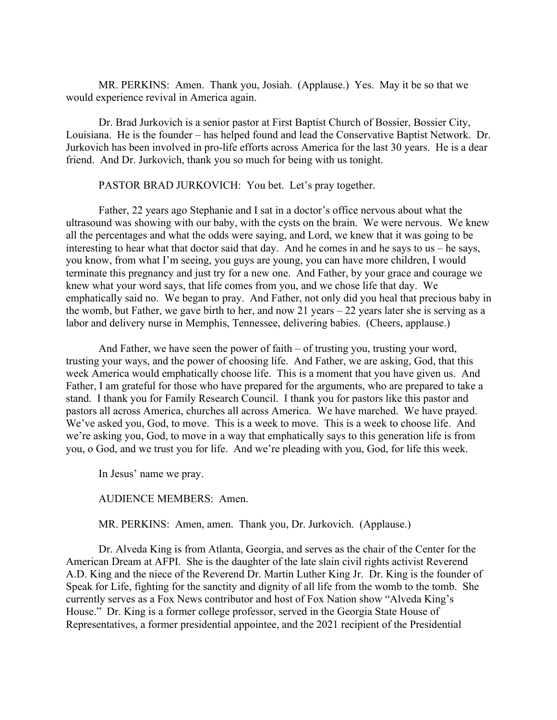MR. PERKINS: Amen. Thank you, Josiah. (Applause.) Yes. May it be so that we would experience revival in America again.

Dr. Brad Jurkovich is a senior pastor at First Baptist Church of Bossier, Bossier City, Louisiana. He is the founder – has helped found and lead the Conservative Baptist Network. Dr. Jurkovich has been involved in pro-life efforts across America for the last 30 years. He is a dear friend. And Dr. Jurkovich, thank you so much for being with us tonight.

PASTOR BRAD JURKOVICH: You bet. Let's pray together.

Father, 22 years ago Stephanie and I sat in a doctor's office nervous about what the ultrasound was showing with our baby, with the cysts on the brain. We were nervous. We knew all the percentages and what the odds were saying, and Lord, we knew that it was going to be interesting to hear what that doctor said that day. And he comes in and he says to us  $-$  he says, you know, from what I'm seeing, you guys are young, you can have more children, I would terminate this pregnancy and just try for a new one. And Father, by your grace and courage we knew what your word says, that life comes from you, and we chose life that day. We emphatically said no. We began to pray. And Father, not only did you heal that precious baby in the womb, but Father, we gave birth to her, and now 21 years – 22 years later she is serving as a labor and delivery nurse in Memphis, Tennessee, delivering babies. (Cheers, applause.)

And Father, we have seen the power of faith – of trusting you, trusting your word, trusting your ways, and the power of choosing life. And Father, we are asking, God, that this week America would emphatically choose life. This is a moment that you have given us. And Father, I am grateful for those who have prepared for the arguments, who are prepared to take a stand. I thank you for Family Research Council. I thank you for pastors like this pastor and pastors all across America, churches all across America. We have marched. We have prayed. We've asked you, God, to move. This is a week to move. This is a week to choose life. And we're asking you, God, to move in a way that emphatically says to this generation life is from you, o God, and we trust you for life. And we're pleading with you, God, for life this week.

In Jesus' name we pray.

AUDIENCE MEMBERS: Amen.

MR. PERKINS: Amen, amen. Thank you, Dr. Jurkovich. (Applause.)

Dr. Alveda King is from Atlanta, Georgia, and serves as the chair of the Center for the American Dream at AFPI. She is the daughter of the late slain civil rights activist Reverend A.D. King and the niece of the Reverend Dr. Martin Luther King Jr. Dr. King is the founder of Speak for Life, fighting for the sanctity and dignity of all life from the womb to the tomb. She currently serves as a Fox News contributor and host of Fox Nation show "Alveda King's House." Dr. King is a former college professor, served in the Georgia State House of Representatives, a former presidential appointee, and the 2021 recipient of the Presidential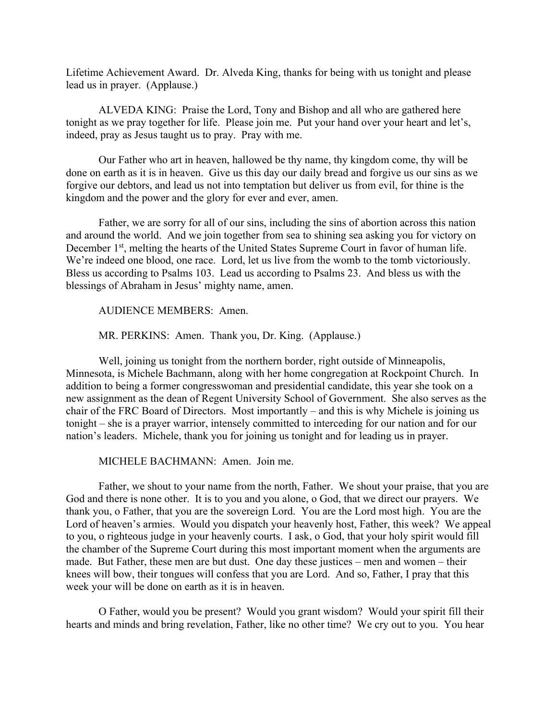Lifetime Achievement Award. Dr. Alveda King, thanks for being with us tonight and please lead us in prayer. (Applause.)

ALVEDA KING: Praise the Lord, Tony and Bishop and all who are gathered here tonight as we pray together for life. Please join me. Put your hand over your heart and let's, indeed, pray as Jesus taught us to pray. Pray with me.

Our Father who art in heaven, hallowed be thy name, thy kingdom come, thy will be done on earth as it is in heaven. Give us this day our daily bread and forgive us our sins as we forgive our debtors, and lead us not into temptation but deliver us from evil, for thine is the kingdom and the power and the glory for ever and ever, amen.

Father, we are sorry for all of our sins, including the sins of abortion across this nation and around the world. And we join together from sea to shining sea asking you for victory on December 1<sup>st</sup>, melting the hearts of the United States Supreme Court in favor of human life. We're indeed one blood, one race. Lord, let us live from the womb to the tomb victoriously. Bless us according to Psalms 103. Lead us according to Psalms 23. And bless us with the blessings of Abraham in Jesus' mighty name, amen.

AUDIENCE MEMBERS: Amen.

MR. PERKINS: Amen. Thank you, Dr. King. (Applause.)

Well, joining us tonight from the northern border, right outside of Minneapolis, Minnesota, is Michele Bachmann, along with her home congregation at Rockpoint Church. In addition to being a former congresswoman and presidential candidate, this year she took on a new assignment as the dean of Regent University School of Government. She also serves as the chair of the FRC Board of Directors. Most importantly – and this is why Michele is joining us tonight – she is a prayer warrior, intensely committed to interceding for our nation and for our nation's leaders. Michele, thank you for joining us tonight and for leading us in prayer.

MICHELE BACHMANN: Amen. Join me.

Father, we shout to your name from the north, Father. We shout your praise, that you are God and there is none other. It is to you and you alone, o God, that we direct our prayers. We thank you, o Father, that you are the sovereign Lord. You are the Lord most high. You are the Lord of heaven's armies. Would you dispatch your heavenly host, Father, this week? We appeal to you, o righteous judge in your heavenly courts. I ask, o God, that your holy spirit would fill the chamber of the Supreme Court during this most important moment when the arguments are made. But Father, these men are but dust. One day these justices – men and women – their knees will bow, their tongues will confess that you are Lord. And so, Father, I pray that this week your will be done on earth as it is in heaven.

O Father, would you be present? Would you grant wisdom? Would your spirit fill their hearts and minds and bring revelation, Father, like no other time? We cry out to you. You hear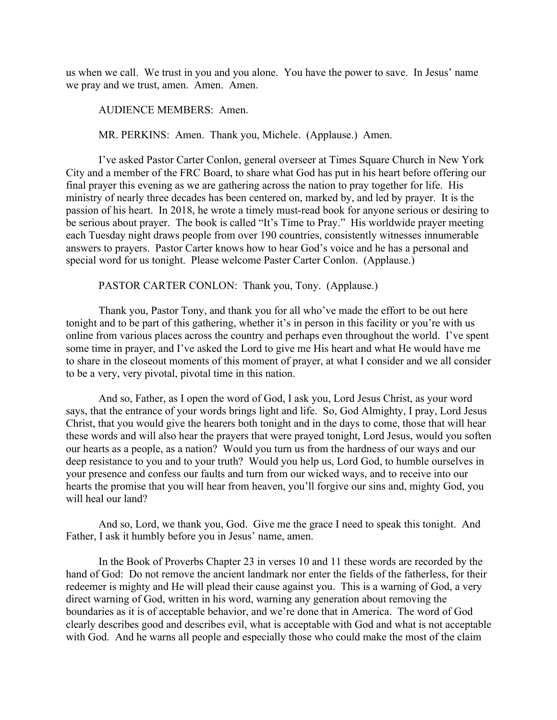us when we call. We trust in you and you alone. You have the power to save. In Jesus' name we pray and we trust, amen. Amen. Amen.

AUDIENCE MEMBERS: Amen.

MR. PERKINS: Amen. Thank you, Michele. (Applause.) Amen.

I've asked Pastor Carter Conlon, general overseer at Times Square Church in New York City and a member of the FRC Board, to share what God has put in his heart before offering our final prayer this evening as we are gathering across the nation to pray together for life. His ministry of nearly three decades has been centered on, marked by, and led by prayer. It is the passion of his heart. In 2018, he wrote a timely must-read book for anyone serious or desiring to be serious about prayer. The book is called "It's Time to Pray." His worldwide prayer meeting each Tuesday night draws people from over 190 countries, consistently witnesses innumerable answers to prayers. Pastor Carter knows how to hear God's voice and he has a personal and special word for us tonight. Please welcome Paster Carter Conlon. (Applause.)

#### PASTOR CARTER CONLON: Thank you, Tony. (Applause.)

Thank you, Pastor Tony, and thank you for all who've made the effort to be out here tonight and to be part of this gathering, whether it's in person in this facility or you're with us online from various places across the country and perhaps even throughout the world. I've spent some time in prayer, and I've asked the Lord to give me His heart and what He would have me to share in the closeout moments of this moment of prayer, at what I consider and we all consider to be a very, very pivotal, pivotal time in this nation.

And so, Father, as I open the word of God, I ask you, Lord Jesus Christ, as your word says, that the entrance of your words brings light and life. So, God Almighty, I pray, Lord Jesus Christ, that you would give the hearers both tonight and in the days to come, those that will hear these words and will also hear the prayers that were prayed tonight, Lord Jesus, would you soften our hearts as a people, as a nation? Would you turn us from the hardness of our ways and our deep resistance to you and to your truth? Would you help us, Lord God, to humble ourselves in your presence and confess our faults and turn from our wicked ways, and to receive into our hearts the promise that you will hear from heaven, you'll forgive our sins and, mighty God, you will heal our land?

And so, Lord, we thank you, God. Give me the grace I need to speak this tonight. And Father, I ask it humbly before you in Jesus' name, amen.

In the Book of Proverbs Chapter 23 in verses 10 and 11 these words are recorded by the hand of God: Do not remove the ancient landmark nor enter the fields of the fatherless, for their redeemer is mighty and He will plead their cause against you. This is a warning of God, a very direct warning of God, written in his word, warning any generation about removing the boundaries as it is of acceptable behavior, and we're done that in America. The word of God clearly describes good and describes evil, what is acceptable with God and what is not acceptable with God. And he warns all people and especially those who could make the most of the claim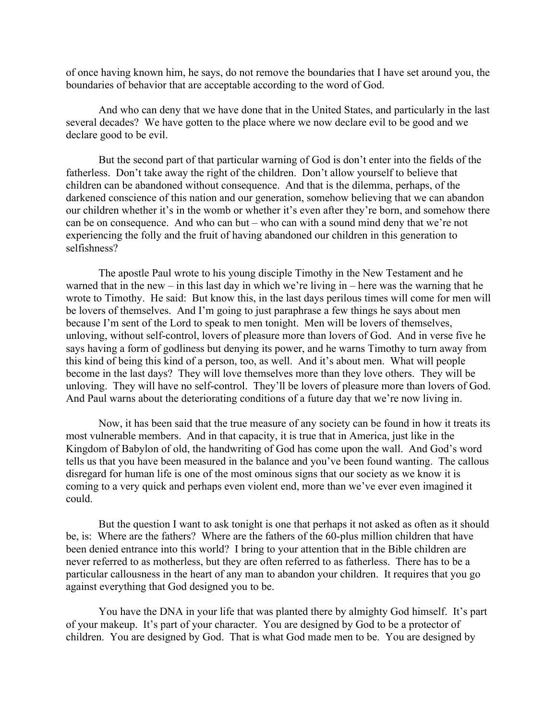of once having known him, he says, do not remove the boundaries that I have set around you, the boundaries of behavior that are acceptable according to the word of God.

And who can deny that we have done that in the United States, and particularly in the last several decades? We have gotten to the place where we now declare evil to be good and we declare good to be evil.

But the second part of that particular warning of God is don't enter into the fields of the fatherless. Don't take away the right of the children. Don't allow yourself to believe that children can be abandoned without consequence. And that is the dilemma, perhaps, of the darkened conscience of this nation and our generation, somehow believing that we can abandon our children whether it's in the womb or whether it's even after they're born, and somehow there can be on consequence. And who can but – who can with a sound mind deny that we're not experiencing the folly and the fruit of having abandoned our children in this generation to selfishness?

The apostle Paul wrote to his young disciple Timothy in the New Testament and he warned that in the new – in this last day in which we're living in – here was the warning that he wrote to Timothy. He said: But know this, in the last days perilous times will come for men will be lovers of themselves. And I'm going to just paraphrase a few things he says about men because I'm sent of the Lord to speak to men tonight. Men will be lovers of themselves, unloving, without self-control, lovers of pleasure more than lovers of God. And in verse five he says having a form of godliness but denying its power, and he warns Timothy to turn away from this kind of being this kind of a person, too, as well. And it's about men. What will people become in the last days? They will love themselves more than they love others. They will be unloving. They will have no self-control. They'll be lovers of pleasure more than lovers of God. And Paul warns about the deteriorating conditions of a future day that we're now living in.

Now, it has been said that the true measure of any society can be found in how it treats its most vulnerable members. And in that capacity, it is true that in America, just like in the Kingdom of Babylon of old, the handwriting of God has come upon the wall. And God's word tells us that you have been measured in the balance and you've been found wanting. The callous disregard for human life is one of the most ominous signs that our society as we know it is coming to a very quick and perhaps even violent end, more than we've ever even imagined it could.

But the question I want to ask tonight is one that perhaps it not asked as often as it should be, is: Where are the fathers? Where are the fathers of the 60-plus million children that have been denied entrance into this world? I bring to your attention that in the Bible children are never referred to as motherless, but they are often referred to as fatherless. There has to be a particular callousness in the heart of any man to abandon your children. It requires that you go against everything that God designed you to be.

You have the DNA in your life that was planted there by almighty God himself. It's part of your makeup. It's part of your character. You are designed by God to be a protector of children. You are designed by God. That is what God made men to be. You are designed by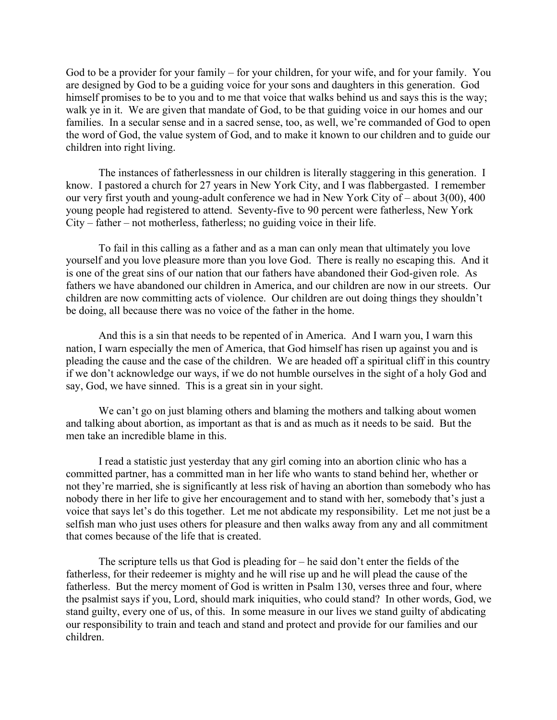God to be a provider for your family – for your children, for your wife, and for your family. You are designed by God to be a guiding voice for your sons and daughters in this generation. God himself promises to be to you and to me that voice that walks behind us and says this is the way; walk ye in it. We are given that mandate of God, to be that guiding voice in our homes and our families. In a secular sense and in a sacred sense, too, as well, we're commanded of God to open the word of God, the value system of God, and to make it known to our children and to guide our children into right living.

The instances of fatherlessness in our children is literally staggering in this generation. I know. I pastored a church for 27 years in New York City, and I was flabbergasted. I remember our very first youth and young-adult conference we had in New York City of – about 3(00), 400 young people had registered to attend. Seventy-five to 90 percent were fatherless, New York City – father – not motherless, fatherless; no guiding voice in their life.

To fail in this calling as a father and as a man can only mean that ultimately you love yourself and you love pleasure more than you love God. There is really no escaping this. And it is one of the great sins of our nation that our fathers have abandoned their God-given role. As fathers we have abandoned our children in America, and our children are now in our streets. Our children are now committing acts of violence. Our children are out doing things they shouldn't be doing, all because there was no voice of the father in the home.

And this is a sin that needs to be repented of in America. And I warn you, I warn this nation, I warn especially the men of America, that God himself has risen up against you and is pleading the cause and the case of the children. We are headed off a spiritual cliff in this country if we don't acknowledge our ways, if we do not humble ourselves in the sight of a holy God and say, God, we have sinned. This is a great sin in your sight.

We can't go on just blaming others and blaming the mothers and talking about women and talking about abortion, as important as that is and as much as it needs to be said. But the men take an incredible blame in this.

I read a statistic just yesterday that any girl coming into an abortion clinic who has a committed partner, has a committed man in her life who wants to stand behind her, whether or not they're married, she is significantly at less risk of having an abortion than somebody who has nobody there in her life to give her encouragement and to stand with her, somebody that's just a voice that says let's do this together. Let me not abdicate my responsibility. Let me not just be a selfish man who just uses others for pleasure and then walks away from any and all commitment that comes because of the life that is created.

The scripture tells us that God is pleading for – he said don't enter the fields of the fatherless, for their redeemer is mighty and he will rise up and he will plead the cause of the fatherless. But the mercy moment of God is written in Psalm 130, verses three and four, where the psalmist says if you, Lord, should mark iniquities, who could stand? In other words, God, we stand guilty, every one of us, of this. In some measure in our lives we stand guilty of abdicating our responsibility to train and teach and stand and protect and provide for our families and our children.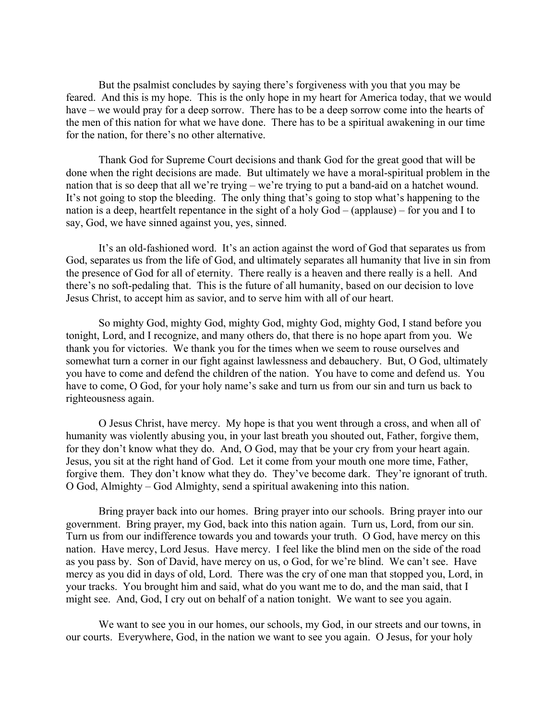But the psalmist concludes by saying there's forgiveness with you that you may be feared. And this is my hope. This is the only hope in my heart for America today, that we would have – we would pray for a deep sorrow. There has to be a deep sorrow come into the hearts of the men of this nation for what we have done. There has to be a spiritual awakening in our time for the nation, for there's no other alternative.

Thank God for Supreme Court decisions and thank God for the great good that will be done when the right decisions are made. But ultimately we have a moral-spiritual problem in the nation that is so deep that all we're trying – we're trying to put a band-aid on a hatchet wound. It's not going to stop the bleeding. The only thing that's going to stop what's happening to the nation is a deep, heartfelt repentance in the sight of a holy God – (applause) – for you and I to say, God, we have sinned against you, yes, sinned.

It's an old-fashioned word. It's an action against the word of God that separates us from God, separates us from the life of God, and ultimately separates all humanity that live in sin from the presence of God for all of eternity. There really is a heaven and there really is a hell. And there's no soft-pedaling that. This is the future of all humanity, based on our decision to love Jesus Christ, to accept him as savior, and to serve him with all of our heart.

So mighty God, mighty God, mighty God, mighty God, mighty God, I stand before you tonight, Lord, and I recognize, and many others do, that there is no hope apart from you. We thank you for victories. We thank you for the times when we seem to rouse ourselves and somewhat turn a corner in our fight against lawlessness and debauchery. But, O God, ultimately you have to come and defend the children of the nation. You have to come and defend us. You have to come, O God, for your holy name's sake and turn us from our sin and turn us back to righteousness again.

O Jesus Christ, have mercy. My hope is that you went through a cross, and when all of humanity was violently abusing you, in your last breath you shouted out, Father, forgive them, for they don't know what they do. And, O God, may that be your cry from your heart again. Jesus, you sit at the right hand of God. Let it come from your mouth one more time, Father, forgive them. They don't know what they do. They've become dark. They're ignorant of truth. O God, Almighty – God Almighty, send a spiritual awakening into this nation.

Bring prayer back into our homes. Bring prayer into our schools. Bring prayer into our government. Bring prayer, my God, back into this nation again. Turn us, Lord, from our sin. Turn us from our indifference towards you and towards your truth. O God, have mercy on this nation. Have mercy, Lord Jesus. Have mercy. I feel like the blind men on the side of the road as you pass by. Son of David, have mercy on us, o God, for we're blind. We can't see. Have mercy as you did in days of old, Lord. There was the cry of one man that stopped you, Lord, in your tracks. You brought him and said, what do you want me to do, and the man said, that I might see. And, God, I cry out on behalf of a nation tonight. We want to see you again.

We want to see you in our homes, our schools, my God, in our streets and our towns, in our courts. Everywhere, God, in the nation we want to see you again. O Jesus, for your holy